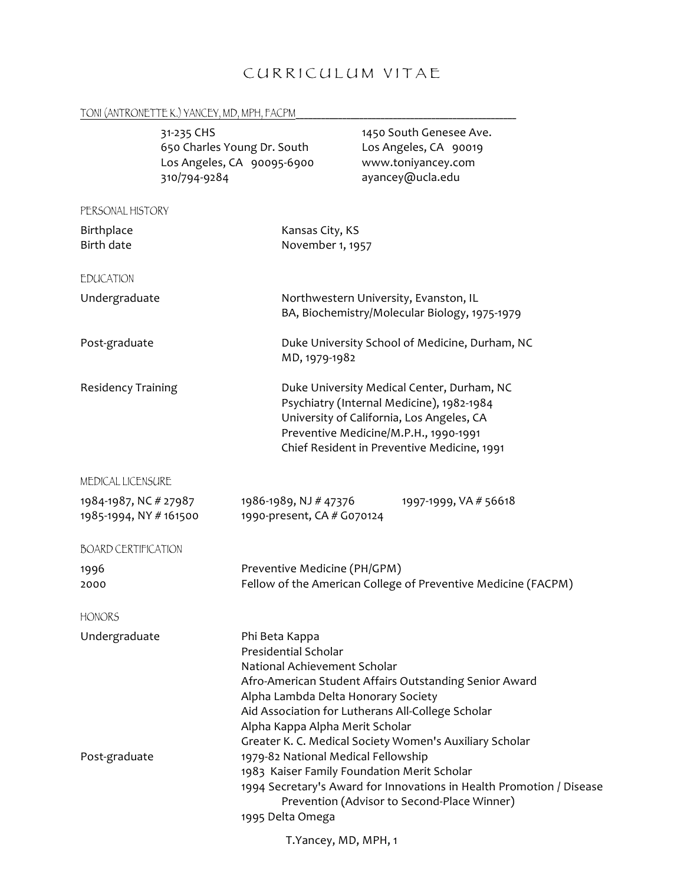# CURRICULUM VITAE

#### TONI (ANTRONETTE K.) YANCEY, MD, MPH, FACPM\_\_\_\_\_\_\_\_\_\_\_\_\_\_\_\_\_\_\_\_\_\_\_\_\_\_\_\_\_\_\_\_\_\_\_\_\_\_\_\_\_\_\_\_\_\_\_\_\_\_\_\_

|                                                 | 31-235 CHS<br>650 Charles Young Dr. South<br>310/794-9284 | Los Angeles, CA 90095-6900                                                                                                                                                                                                                                                                                                                                                                                                                                                                                                                                         | 1450 South Genesee Ave.<br>Los Angeles, CA 90019<br>www.toniyancey.com<br>ayancey@ucla.edu                                                                                                                                   |  |
|-------------------------------------------------|-----------------------------------------------------------|--------------------------------------------------------------------------------------------------------------------------------------------------------------------------------------------------------------------------------------------------------------------------------------------------------------------------------------------------------------------------------------------------------------------------------------------------------------------------------------------------------------------------------------------------------------------|------------------------------------------------------------------------------------------------------------------------------------------------------------------------------------------------------------------------------|--|
| PERSONAL HISTORY                                |                                                           |                                                                                                                                                                                                                                                                                                                                                                                                                                                                                                                                                                    |                                                                                                                                                                                                                              |  |
| Birthplace<br>Birth date                        |                                                           |                                                                                                                                                                                                                                                                                                                                                                                                                                                                                                                                                                    | Kansas City, KS<br>November 1, 1957                                                                                                                                                                                          |  |
| <b>EDUCATION</b>                                |                                                           |                                                                                                                                                                                                                                                                                                                                                                                                                                                                                                                                                                    |                                                                                                                                                                                                                              |  |
| Undergraduate                                   |                                                           |                                                                                                                                                                                                                                                                                                                                                                                                                                                                                                                                                                    | Northwestern University, Evanston, IL<br>BA, Biochemistry/Molecular Biology, 1975-1979                                                                                                                                       |  |
| Post-graduate                                   |                                                           |                                                                                                                                                                                                                                                                                                                                                                                                                                                                                                                                                                    | Duke University School of Medicine, Durham, NC<br>MD, 1979-1982                                                                                                                                                              |  |
| <b>Residency Training</b>                       |                                                           |                                                                                                                                                                                                                                                                                                                                                                                                                                                                                                                                                                    | Duke University Medical Center, Durham, NC<br>Psychiatry (Internal Medicine), 1982-1984<br>University of California, Los Angeles, CA<br>Preventive Medicine/M.P.H., 1990-1991<br>Chief Resident in Preventive Medicine, 1991 |  |
| MEDICAL LICENSURE                               |                                                           |                                                                                                                                                                                                                                                                                                                                                                                                                                                                                                                                                                    |                                                                                                                                                                                                                              |  |
| 1984-1987, NC # 27987<br>1985-1994, NY # 161500 |                                                           | 1986-1989, NJ # 47376<br>1990-present, CA # G070124                                                                                                                                                                                                                                                                                                                                                                                                                                                                                                                | 1997-1999, VA # 56618                                                                                                                                                                                                        |  |
| <b>BOARD CERTIFICATION</b>                      |                                                           |                                                                                                                                                                                                                                                                                                                                                                                                                                                                                                                                                                    |                                                                                                                                                                                                                              |  |
| 1996<br>2000                                    |                                                           | Preventive Medicine (PH/GPM)<br>Fellow of the American College of Preventive Medicine (FACPM)                                                                                                                                                                                                                                                                                                                                                                                                                                                                      |                                                                                                                                                                                                                              |  |
| <b>HONORS</b>                                   |                                                           |                                                                                                                                                                                                                                                                                                                                                                                                                                                                                                                                                                    |                                                                                                                                                                                                                              |  |
| Undergraduate<br>Post-graduate                  |                                                           | Phi Beta Kappa<br><b>Presidential Scholar</b><br>National Achievement Scholar<br>Afro-American Student Affairs Outstanding Senior Award<br>Alpha Lambda Delta Honorary Society<br>Aid Association for Lutherans All-College Scholar<br>Alpha Kappa Alpha Merit Scholar<br>Greater K. C. Medical Society Women's Auxiliary Scholar<br>1979-82 National Medical Fellowship<br>1983 Kaiser Family Foundation Merit Scholar<br>1994 Secretary's Award for Innovations in Health Promotion / Disease<br>Prevention (Advisor to Second-Place Winner)<br>1995 Delta Omega |                                                                                                                                                                                                                              |  |
|                                                 |                                                           | $\sim$ $\sim$ $\sim$ $\sim$ $\sim$ $\sim$ $\sim$ $\sim$                                                                                                                                                                                                                                                                                                                                                                                                                                                                                                            |                                                                                                                                                                                                                              |  |

T.Yancey, MD, MPH, 1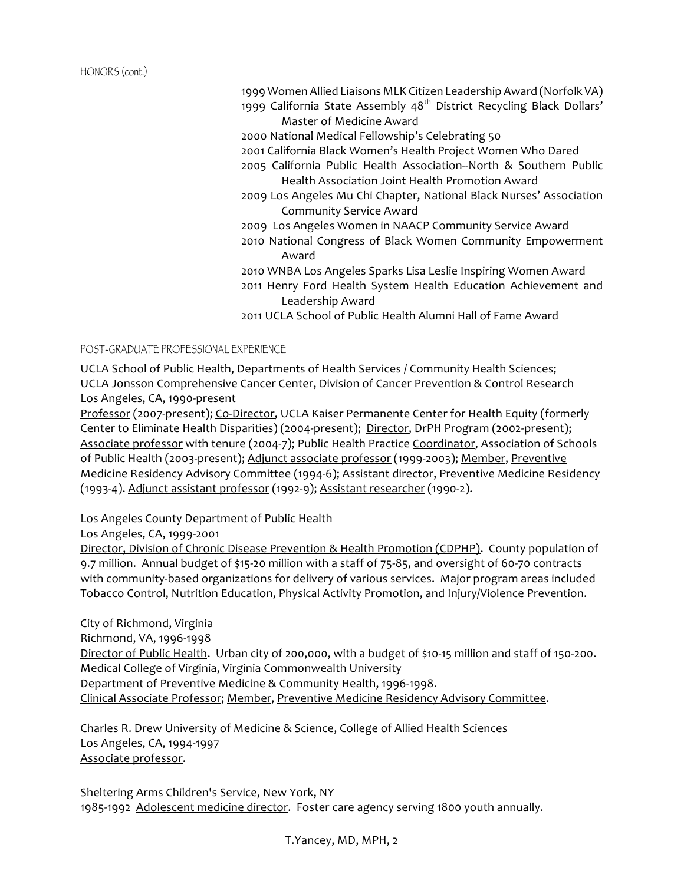HONORS (cont.)

1999 Women Allied Liaisons MLK Citizen Leadership Award (Norfolk VA)

1999 California State Assembly  $48^{th}$  District Recycling Black Dollars' Master of Medicine Award

2000 National Medical Fellowship's Celebrating 50

2001 California Black Women's Health Project Women Who Dared

2005 California Public Health Association--North & Southern Public Health Association Joint Health Promotion Award

2009 Los Angeles Mu Chi Chapter, National Black Nurses' Association Community Service Award

2009 Los Angeles Women in NAACP Community Service Award

2010 National Congress of Black Women Community Empowerment Award

2010 WNBA Los Angeles Sparks Lisa Leslie Inspiring Women Award 2011 Henry Ford Health System Health Education Achievement and Leadership Award

2011 UCLA School of Public Health Alumni Hall of Fame Award

POST-GRADUATE PROFESSIONAL EXPERIENCE

UCLA School of Public Health, Departments of Health Services / Community Health Sciences; UCLA Jonsson Comprehensive Cancer Center, Division of Cancer Prevention & Control Research Los Angeles, CA, 1990-present

Professor (2007-present); Co-Director, UCLA Kaiser Permanente Center for Health Equity (formerly Center to Eliminate Health Disparities) (2004-present); Director, DrPH Program (2002-present); Associate professor with tenure (2004-7); Public Health Practice Coordinator, Association of Schools of Public Health (2003-present); Adjunct associate professor (1999-2003); Member, Preventive Medicine Residency Advisory Committee (1994-6); Assistant director, Preventive Medicine Residency (1993-4). Adjunct assistant professor (1992-9); Assistant researcher (1990-2).

Los Angeles County Department of Public Health

Los Angeles, CA, 1999-2001

Director, Division of Chronic Disease Prevention & Health Promotion (CDPHP). County population of 9.7 million. Annual budget of \$15-20 million with a staff of 75-85, and oversight of 60-70 contracts with community-based organizations for delivery of various services. Major program areas included Tobacco Control, Nutrition Education, Physical Activity Promotion, and Injury/Violence Prevention.

City of Richmond, Virginia Richmond, VA, 1996-1998 Director of Public Health. Urban city of 200,000, with a budget of \$10-15 million and staff of 150-200. Medical College of Virginia, Virginia Commonwealth University Department of Preventive Medicine & Community Health, 1996-1998. Clinical Associate Professor; Member, Preventive Medicine Residency Advisory Committee.

Charles R. Drew University of Medicine & Science, College of Allied Health Sciences Los Angeles, CA, 1994-1997 Associate professor.

Sheltering Arms Children's Service, New York, NY 1985-1992 Adolescent medicine director. Foster care agency serving 1800 youth annually.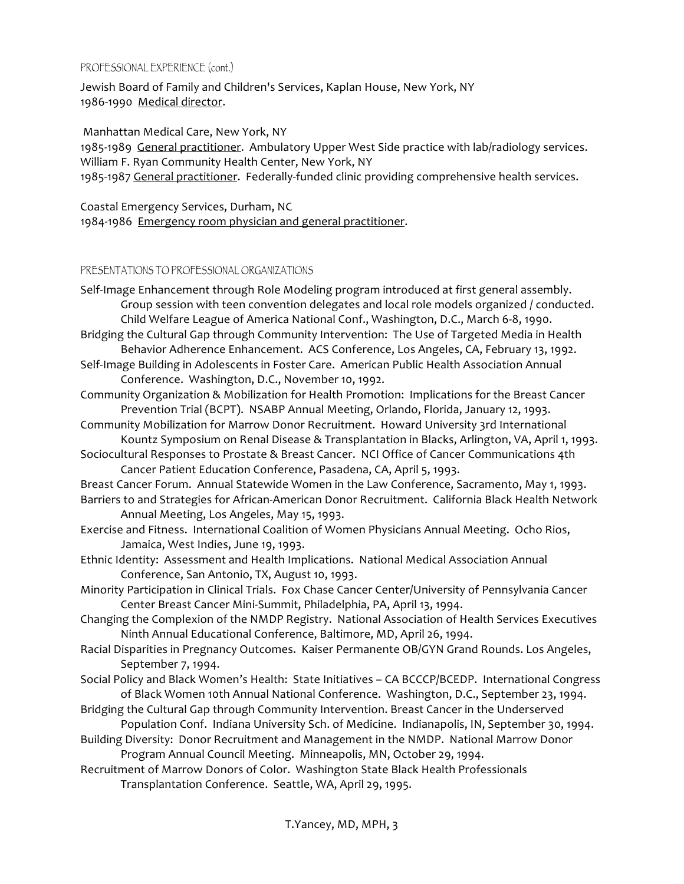#### PROFESSIONAL EXPERIENCE (cont.)

Jewish Board of Family and Children's Services, Kaplan House, New York, NY 1986-1990 Medical director.

Manhattan Medical Care, New York, NY

1985-1989 General practitioner. Ambulatory Upper West Side practice with lab/radiology services. William F. Ryan Community Health Center, New York, NY

1985-1987 General practitioner. Federally-funded clinic providing comprehensive health services.

Coastal Emergency Services, Durham, NC 1984-1986 Emergency room physician and general practitioner.

### PRESENTATIONS TO PROFESSIONAL ORGANIZATIONS

Self-Image Enhancement through Role Modeling program introduced at first general assembly. Group session with teen convention delegates and local role models organized / conducted. Child Welfare League of America National Conf., Washington, D.C., March 6-8, 1990. Bridging the Cultural Gap through Community Intervention: The Use of Targeted Media in Health Behavior Adherence Enhancement. ACS Conference, Los Angeles, CA, February 13, 1992. Self-Image Building in Adolescents in Foster Care. American Public Health Association Annual Conference. Washington, D.C., November 10, 1992. Community Organization & Mobilization for Health Promotion: Implications for the Breast Cancer Prevention Trial (BCPT). NSABP Annual Meeting, Orlando, Florida, January 12, 1993. Community Mobilization for Marrow Donor Recruitment. Howard University 3rd International Kountz Symposium on Renal Disease & Transplantation in Blacks, Arlington, VA, April 1, 1993. Sociocultural Responses to Prostate & Breast Cancer. NCI Office of Cancer Communications 4th Cancer Patient Education Conference, Pasadena, CA, April 5, 1993. Breast Cancer Forum. Annual Statewide Women in the Law Conference, Sacramento, May 1, 1993. Barriers to and Strategies for African-American Donor Recruitment. California Black Health Network Annual Meeting, Los Angeles, May 15, 1993. Exercise and Fitness. International Coalition of Women Physicians Annual Meeting. Ocho Rios, Jamaica, West Indies, June 19, 1993. Ethnic Identity: Assessment and Health Implications. National Medical Association Annual Conference, San Antonio, TX, August 10, 1993. Minority Participation in Clinical Trials. Fox Chase Cancer Center/University of Pennsylvania Cancer Center Breast Cancer Mini-Summit, Philadelphia, PA, April 13, 1994. Changing the Complexion of the NMDP Registry. National Association of Health Services Executives Ninth Annual Educational Conference, Baltimore, MD, April 26, 1994. Racial Disparities in Pregnancy Outcomes. Kaiser Permanente OB/GYN Grand Rounds. Los Angeles, September 7, 1994. Social Policy and Black Women's Health: State Initiatives – CA BCCCP/BCEDP. International Congress of Black Women 10th Annual National Conference. Washington, D.C., September 23, 1994. Bridging the Cultural Gap through Community Intervention. Breast Cancer in the Underserved Population Conf. Indiana University Sch. of Medicine. Indianapolis, IN, September 30, 1994. Building Diversity: Donor Recruitment and Management in the NMDP. National Marrow Donor Program Annual Council Meeting. Minneapolis, MN, October 29, 1994. Recruitment of Marrow Donors of Color. Washington State Black Health Professionals Transplantation Conference. Seattle, WA, April 29, 1995.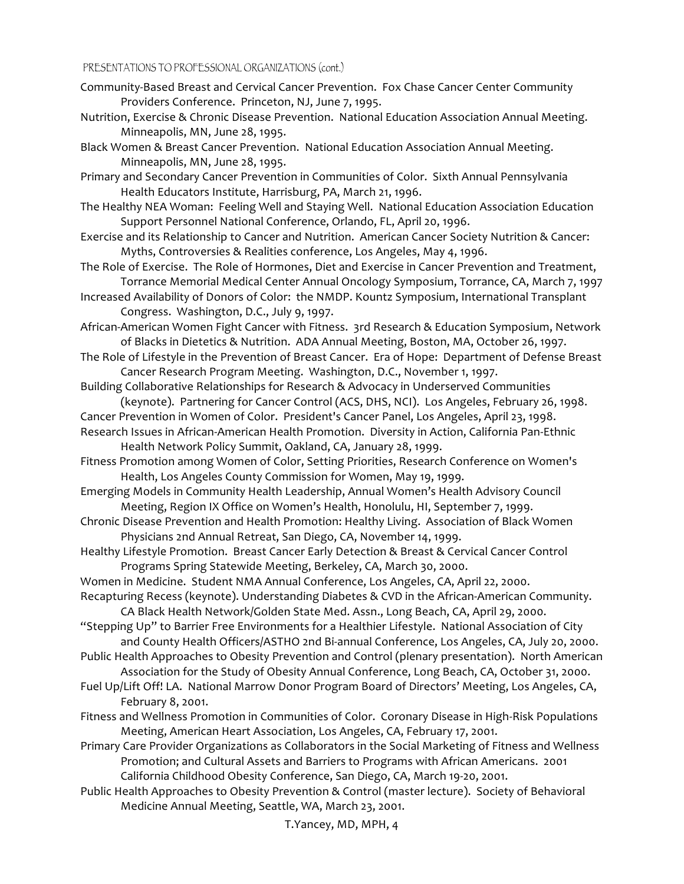- Community-Based Breast and Cervical Cancer Prevention. Fox Chase Cancer Center Community Providers Conference. Princeton, NJ, June 7, 1995.
- Nutrition, Exercise & Chronic Disease Prevention. National Education Association Annual Meeting. Minneapolis, MN, June 28, 1995.
- Black Women & Breast Cancer Prevention. National Education Association Annual Meeting. Minneapolis, MN, June 28, 1995.

Primary and Secondary Cancer Prevention in Communities of Color. Sixth Annual Pennsylvania Health Educators Institute, Harrisburg, PA, March 21, 1996.

- The Healthy NEA Woman: Feeling Well and Staying Well. National Education Association Education Support Personnel National Conference, Orlando, FL, April 20, 1996.
- Exercise and its Relationship to Cancer and Nutrition. American Cancer Society Nutrition & Cancer: Myths, Controversies & Realities conference, Los Angeles, May 4, 1996.
- The Role of Exercise. The Role of Hormones, Diet and Exercise in Cancer Prevention and Treatment, Torrance Memorial Medical Center Annual Oncology Symposium, Torrance, CA, March 7, 1997
- Increased Availability of Donors of Color: the NMDP. Kountz Symposium, International Transplant Congress. Washington, D.C., July 9, 1997.
- African-American Women Fight Cancer with Fitness. 3rd Research & Education Symposium, Network of Blacks in Dietetics & Nutrition. ADA Annual Meeting, Boston, MA, October 26, 1997.
- The Role of Lifestyle in the Prevention of Breast Cancer. Era of Hope: Department of Defense Breast Cancer Research Program Meeting. Washington, D.C., November 1, 1997.
- Building Collaborative Relationships for Research & Advocacy in Underserved Communities (keynote). Partnering for Cancer Control (ACS, DHS, NCI). Los Angeles, February 26, 1998.
- Cancer Prevention in Women of Color. President's Cancer Panel, Los Angeles, April 23, 1998.
- Research Issues in African-American Health Promotion. Diversity in Action, California Pan-Ethnic Health Network Policy Summit, Oakland, CA, January 28, 1999.
- Fitness Promotion among Women of Color, Setting Priorities, Research Conference on Women's Health, Los Angeles County Commission for Women, May 19, 1999.
- Emerging Models in Community Health Leadership, Annual Women's Health Advisory Council Meeting, Region IX Office on Women's Health, Honolulu, HI, September 7, 1999.
- Chronic Disease Prevention and Health Promotion: Healthy Living. Association of Black Women Physicians 2nd Annual Retreat, San Diego, CA, November 14, 1999.
- Healthy Lifestyle Promotion. Breast Cancer Early Detection & Breast & Cervical Cancer Control Programs Spring Statewide Meeting, Berkeley, CA, March 30, 2000.
- Women in Medicine. Student NMA Annual Conference, Los Angeles, CA, April 22, 2000.
- Recapturing Recess (keynote). Understanding Diabetes & CVD in the African-American Community. CA Black Health Network/Golden State Med. Assn., Long Beach, CA, April 29, 2000.

"Stepping Up" to Barrier Free Environments for a Healthier Lifestyle. National Association of City and County Health Officers/ASTHO 2nd Bi-annual Conference, Los Angeles, CA, July 20, 2000.

- Public Health Approaches to Obesity Prevention and Control (plenary presentation). North American Association for the Study of Obesity Annual Conference, Long Beach, CA, October 31, 2000.
- Fuel Up/Lift Off! LA. National Marrow Donor Program Board of Directors' Meeting, Los Angeles, CA, February 8, 2001.
- Fitness and Wellness Promotion in Communities of Color. Coronary Disease in High-Risk Populations Meeting, American Heart Association, Los Angeles, CA, February 17, 2001.
- Primary Care Provider Organizations as Collaborators in the Social Marketing of Fitness and Wellness Promotion; and Cultural Assets and Barriers to Programs with African Americans. 2001 California Childhood Obesity Conference, San Diego, CA, March 19-20, 2001.
- Public Health Approaches to Obesity Prevention & Control (master lecture). Society of Behavioral Medicine Annual Meeting, Seattle, WA, March 23, 2001.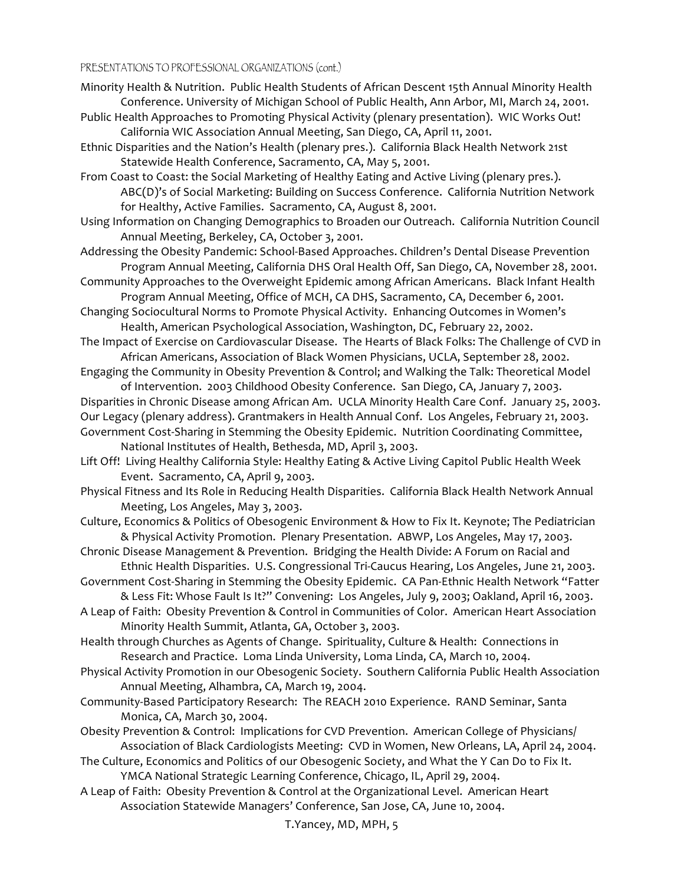- Minority Health & Nutrition. Public Health Students of African Descent 15th Annual Minority Health Conference. University of Michigan School of Public Health, Ann Arbor, MI, March 24, 2001.
- Public Health Approaches to Promoting Physical Activity (plenary presentation). WIC Works Out! California WIC Association Annual Meeting, San Diego, CA, April 11, 2001.

Ethnic Disparities and the Nation's Health (plenary pres.). California Black Health Network 21st Statewide Health Conference, Sacramento, CA, May 5, 2001.

From Coast to Coast: the Social Marketing of Healthy Eating and Active Living (plenary pres.). ABC(D)'s of Social Marketing: Building on Success Conference. California Nutrition Network for Healthy, Active Families. Sacramento, CA, August 8, 2001.

Using Information on Changing Demographics to Broaden our Outreach. California Nutrition Council Annual Meeting, Berkeley, CA, October 3, 2001.

- Addressing the Obesity Pandemic: School-Based Approaches. Children's Dental Disease Prevention Program Annual Meeting, California DHS Oral Health Off, San Diego, CA, November 28, 2001.
- Community Approaches to the Overweight Epidemic among African Americans. Black Infant Health Program Annual Meeting, Office of MCH, CA DHS, Sacramento, CA, December 6, 2001.

Changing Sociocultural Norms to Promote Physical Activity. Enhancing Outcomes in Women's Health, American Psychological Association, Washington, DC, February 22, 2002.

The Impact of Exercise on Cardiovascular Disease. The Hearts of Black Folks: The Challenge of CVD in African Americans, Association of Black Women Physicians, UCLA, September 28, 2002.

Engaging the Community in Obesity Prevention & Control; and Walking the Talk: Theoretical Model of Intervention. 2003 Childhood Obesity Conference. San Diego, CA, January 7, 2003.

Disparities in Chronic Disease among African Am. UCLA Minority Health Care Conf. January 25, 2003. Our Legacy (plenary address). Grantmakers in Health Annual Conf. Los Angeles, February 21, 2003. Government Cost-Sharing in Stemming the Obesity Epidemic. Nutrition Coordinating Committee, National Institutes of Health, Bethesda, MD, April 3, 2003.

Lift Off! Living Healthy California Style: Healthy Eating & Active Living Capitol Public Health Week Event. Sacramento, CA, April 9, 2003.

Physical Fitness and Its Role in Reducing Health Disparities. California Black Health Network Annual Meeting, Los Angeles, May 3, 2003.

Culture, Economics & Politics of Obesogenic Environment & How to Fix It. Keynote; The Pediatrician & Physical Activity Promotion. Plenary Presentation. ABWP, Los Angeles, May 17, 2003.

Chronic Disease Management & Prevention. Bridging the Health Divide: A Forum on Racial and Ethnic Health Disparities. U.S. Congressional Tri-Caucus Hearing, Los Angeles, June 21, 2003.

Government Cost-Sharing in Stemming the Obesity Epidemic. CA Pan-Ethnic Health Network "Fatter & Less Fit: Whose Fault Is It?" Convening: Los Angeles, July 9, 2003; Oakland, April 16, 2003.

A Leap of Faith: Obesity Prevention & Control in Communities of Color. American Heart Association Minority Health Summit, Atlanta, GA, October 3, 2003.

Health through Churches as Agents of Change. Spirituality, Culture & Health: Connections in Research and Practice. Loma Linda University, Loma Linda, CA, March 10, 2004.

- Physical Activity Promotion in our Obesogenic Society. Southern California Public Health Association Annual Meeting, Alhambra, CA, March 19, 2004.
- Community-Based Participatory Research: The REACH 2010 Experience. RAND Seminar, Santa Monica, CA, March 30, 2004.
- Obesity Prevention & Control: Implications for CVD Prevention. American College of Physicians/ Association of Black Cardiologists Meeting: CVD in Women, New Orleans, LA, April 24, 2004.
- The Culture, Economics and Politics of our Obesogenic Society, and What the Y Can Do to Fix It. YMCA National Strategic Learning Conference, Chicago, IL, April 29, 2004.
- A Leap of Faith: Obesity Prevention & Control at the Organizational Level. American Heart Association Statewide Managers' Conference, San Jose, CA, June 10, 2004.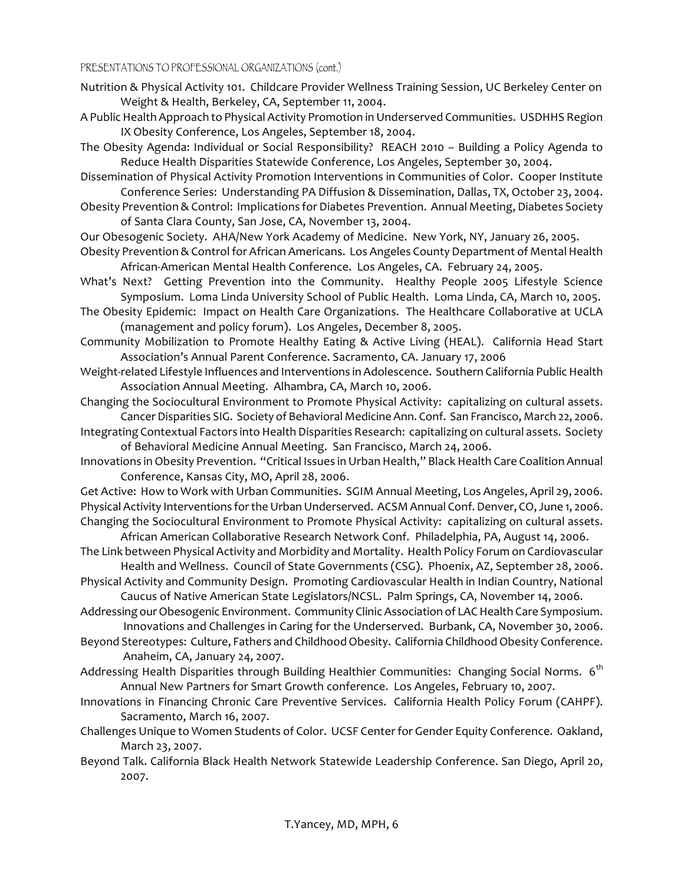- Nutrition & Physical Activity 101. Childcare Provider Wellness Training Session, UC Berkeley Center on Weight & Health, Berkeley, CA, September 11, 2004.
- A Public Health Approach to Physical Activity Promotion in Underserved Communities. USDHHS Region IX Obesity Conference, Los Angeles, September 18, 2004.
- The Obesity Agenda: Individual or Social Responsibility? REACH 2010 Building a Policy Agenda to Reduce Health Disparities Statewide Conference, Los Angeles, September 30, 2004.

Dissemination of Physical Activity Promotion Interventions in Communities of Color. Cooper Institute Conference Series: Understanding PA Diffusion & Dissemination, Dallas, TX, October 23, 2004.

Obesity Prevention & Control: Implications for Diabetes Prevention. Annual Meeting, Diabetes Society of Santa Clara County, San Jose, CA, November 13, 2004.

- Our Obesogenic Society. AHA/New York Academy of Medicine. New York, NY, January 26, 2005.
- Obesity Prevention & Control for African Americans. Los Angeles County Department of Mental Health African-American Mental Health Conference. Los Angeles, CA. February 24, 2005.
- What's Next? Getting Prevention into the Community. Healthy People 2005 Lifestyle Science Symposium. Loma Linda University School of Public Health. Loma Linda, CA, March 10, 2005.
- The Obesity Epidemic: Impact on Health Care Organizations. The Healthcare Collaborative at UCLA (management and policy forum). Los Angeles, December 8, 2005.
- Community Mobilization to Promote Healthy Eating & Active Living (HEAL). California Head Start Association's Annual Parent Conference. Sacramento, CA. January 17, 2006
- Weight-related Lifestyle Influences and Interventions in Adolescence. Southern California Public Health Association Annual Meeting. Alhambra, CA, March 10, 2006.
- Changing the Sociocultural Environment to Promote Physical Activity: capitalizing on cultural assets. Cancer Disparities SIG. Society of Behavioral Medicine Ann. Conf. San Francisco, March 22, 2006.
- Integrating Contextual Factors into Health Disparities Research: capitalizing on cultural assets. Society of Behavioral Medicine Annual Meeting. San Francisco, March 24, 2006.
- Innovations in Obesity Prevention. "Critical Issues in Urban Health," Black Health Care Coalition Annual Conference, Kansas City, MO, April 28, 2006.

Get Active: How to Work with Urban Communities. SGIM Annual Meeting, Los Angeles, April 29, 2006. Physical Activity Interventions for the Urban Underserved. ACSM Annual Conf. Denver, CO, June 1, 2006. Changing the Sociocultural Environment to Promote Physical Activity: capitalizing on cultural assets.

African American Collaborative Research Network Conf. Philadelphia, PA, August 14, 2006.

- The Link between Physical Activity and Morbidity and Mortality. Health Policy Forum on Cardiovascular Health and Wellness. Council of State Governments (CSG). Phoenix, AZ, September 28, 2006.
- Physical Activity and Community Design. Promoting Cardiovascular Health in Indian Country, National Caucus of Native American State Legislators/NCSL. Palm Springs, CA, November 14, 2006.
- Addressing our Obesogenic Environment. Community Clinic Association of LAC Health Care Symposium. Innovations and Challenges in Caring for the Underserved. Burbank, CA, November 30, 2006.
- Beyond Stereotypes: Culture, Fathers and Childhood Obesity. California Childhood Obesity Conference. Anaheim, CA, January 24, 2007.
- Addressing Health Disparities through Building Healthier Communities: Changing Social Norms. 6<sup>th</sup> Annual New Partners for Smart Growth conference. Los Angeles, February 10, 2007.
- Innovations in Financing Chronic Care Preventive Services. California Health Policy Forum (CAHPF). Sacramento, March 16, 2007.
- Challenges Unique to Women Students of Color. UCSF Center for Gender Equity Conference. Oakland, March 23, 2007.
- Beyond Talk. California Black Health Network Statewide Leadership Conference. San Diego, April 20, 2007.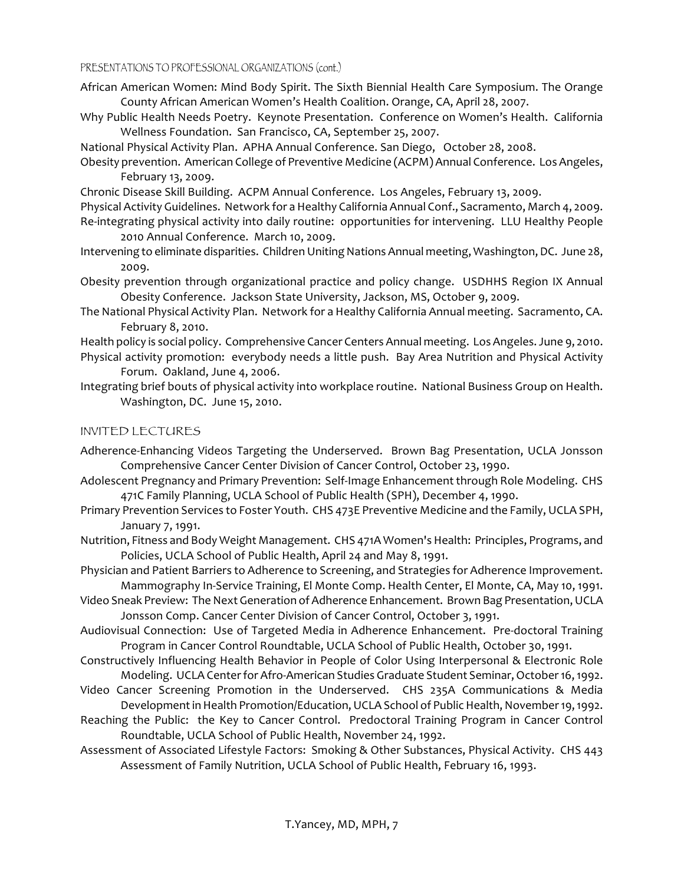- African American Women: Mind Body Spirit. The Sixth Biennial Health Care Symposium. The Orange County African American Women's Health Coalition. Orange, CA, April 28, 2007.
- Why Public Health Needs Poetry. Keynote Presentation. Conference on Women's Health. California Wellness Foundation. San Francisco, CA, September 25, 2007.
- National Physical Activity Plan. APHA Annual Conference. San Diego, October 28, 2008.
- Obesity prevention. American College of Preventive Medicine (ACPM) Annual Conference. Los Angeles, February 13, 2009.
- Chronic Disease Skill Building. ACPM Annual Conference. Los Angeles, February 13, 2009.
- Physical Activity Guidelines. Network for a Healthy California Annual Conf., Sacramento, March 4, 2009. Re-integrating physical activity into daily routine: opportunities for intervening. LLU Healthy People 2010 Annual Conference. March 10, 2009.
- Intervening to eliminate disparities. Children Uniting Nations Annual meeting, Washington, DC. June 28, 2009.
- Obesity prevention through organizational practice and policy change. USDHHS Region IX Annual Obesity Conference. Jackson State University, Jackson, MS, October 9, 2009.
- The National Physical Activity Plan. Network for a Healthy California Annual meeting. Sacramento, CA. February 8, 2010.
- Health policy is social policy. Comprehensive Cancer Centers Annual meeting. Los Angeles. June 9, 2010.
- Physical activity promotion: everybody needs a little push. Bay Area Nutrition and Physical Activity Forum. Oakland, June 4, 2006.
- Integrating brief bouts of physical activity into workplace routine. National Business Group on Health. Washington, DC. June 15, 2010.

### INVITED LECTURES

- Adherence-Enhancing Videos Targeting the Underserved. Brown Bag Presentation, UCLA Jonsson Comprehensive Cancer Center Division of Cancer Control, October 23, 1990.
- Adolescent Pregnancy and Primary Prevention: Self-Image Enhancement through Role Modeling. CHS 471C Family Planning, UCLA School of Public Health (SPH), December 4, 1990.
- Primary Prevention Services to Foster Youth. CHS 473E Preventive Medicine and the Family, UCLA SPH, January 7, 1991.
- Nutrition, Fitness and Body Weight Management. CHS 471A Women's Health: Principles, Programs, and Policies, UCLA School of Public Health, April 24 and May 8, 1991.
- Physician and Patient Barriers to Adherence to Screening, and Strategies for Adherence Improvement. Mammography In-Service Training, El Monte Comp. Health Center, El Monte, CA, May 10, 1991.
- Video Sneak Preview: The Next Generation of Adherence Enhancement. Brown Bag Presentation, UCLA Jonsson Comp. Cancer Center Division of Cancer Control, October 3, 1991.
- Audiovisual Connection: Use of Targeted Media in Adherence Enhancement. Pre-doctoral Training Program in Cancer Control Roundtable, UCLA School of Public Health, October 30, 1991.
- Constructively Influencing Health Behavior in People of Color Using Interpersonal & Electronic Role Modeling. UCLA Center for Afro-American Studies Graduate Student Seminar, October 16, 1992.
- Video Cancer Screening Promotion in the Underserved. CHS 235A Communications & Media Development in Health Promotion/Education, UCLA School of Public Health, November 19, 1992.
- Reaching the Public: the Key to Cancer Control. Predoctoral Training Program in Cancer Control Roundtable, UCLA School of Public Health, November 24, 1992.
- Assessment of Associated Lifestyle Factors: Smoking & Other Substances, Physical Activity. CHS 443 Assessment of Family Nutrition, UCLA School of Public Health, February 16, 1993.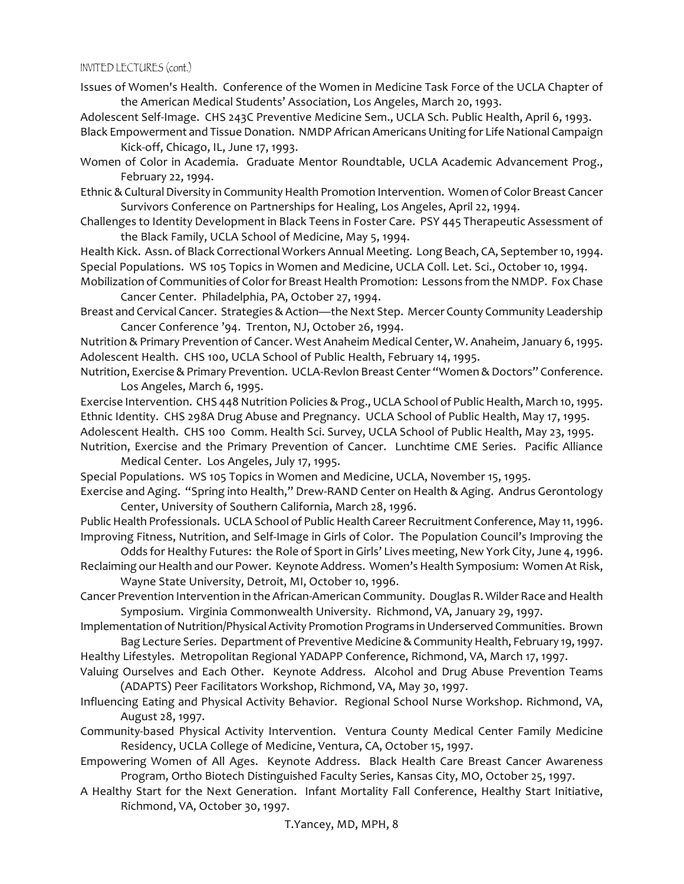Issues of Women's Health. Conference of the Women in Medicine Task Force of the UCLA Chapter of the American Medical Students' Association, Los Angeles, March 20, 1993.

Adolescent Self-Image. CHS 243C Preventive Medicine Sem., UCLA Sch. Public Health, April 6, 1993.

- Black Empowerment and Tissue Donation. NMDP African Americans Uniting for Life National Campaign Kick-off, Chicago, IL, June 17, 1993.
- Women of Color in Academia. Graduate Mentor Roundtable, UCLA Academic Advancement Prog., February 22, 1994.
- Ethnic & Cultural Diversity in Community Health Promotion Intervention. Women of Color Breast Cancer Survivors Conference on Partnerships for Healing, Los Angeles, April 22, 1994.
- Challenges to Identity Development in Black Teens in Foster Care. PSY 445 Therapeutic Assessment of the Black Family, UCLA School of Medicine, May 5, 1994.

Health Kick. Assn. of Black Correctional Workers Annual Meeting. Long Beach, CA, September 10, 1994. Special Populations. WS 105 Topics in Women and Medicine, UCLA Coll. Let. Sci., October 10, 1994.

- Mobilization of Communities of Color for Breast Health Promotion: Lessons from the NMDP. Fox Chase Cancer Center. Philadelphia, PA, October 27, 1994.
- Breast and Cervical Cancer. Strategies & Action—the Next Step. Mercer County Community Leadership Cancer Conference '94. Trenton, NJ, October 26, 1994.

Nutrition & Primary Prevention of Cancer. West Anaheim Medical Center, W. Anaheim, January 6, 1995. Adolescent Health. CHS 100, UCLA School of Public Health, February 14, 1995.

Nutrition, Exercise & Primary Prevention. UCLA-Revlon Breast Center "Women & Doctors" Conference. Los Angeles, March 6, 1995.

Exercise Intervention. CHS 448 Nutrition Policies & Prog., UCLA School of Public Health, March 10, 1995. Ethnic Identity. CHS 298A Drug Abuse and Pregnancy. UCLA School of Public Health, May 17, 1995. Adolescent Health. CHS 100 Comm. Health Sci. Survey, UCLA School of Public Health, May 23, 1995.

Nutrition, Exercise and the Primary Prevention of Cancer. Lunchtime CME Series. Pacific Alliance Medical Center. Los Angeles, July 17, 1995.

Special Populations. WS 105 Topics in Women and Medicine, UCLA, November 15, 1995.

Exercise and Aging. "Spring into Health," Drew-RAND Center on Health & Aging. Andrus Gerontology Center, University of Southern California, March 28, 1996.

Public Health Professionals. UCLA School of Public Health Career Recruitment Conference, May 11, 1996. Improving Fitness, Nutrition, and Self-Image in Girls of Color. The Population Council's Improving the

Odds for Healthy Futures: the Role of Sport in Girls' Lives meeting, New York City, June 4, 1996. Reclaiming our Health and our Power. Keynote Address. Women's Health Symposium: Women At Risk,

Wayne State University, Detroit, MI, October 10, 1996.

- Cancer Prevention Intervention in the African-American Community. Douglas R. Wilder Race and Health Symposium. Virginia Commonwealth University. Richmond, VA, January 29, 1997.
- Implementation of Nutrition/Physical Activity Promotion Programs in Underserved Communities. Brown Bag Lecture Series. Department of Preventive Medicine & Community Health, February 19, 1997.

Healthy Lifestyles. Metropolitan Regional YADAPP Conference, Richmond, VA, March 17, 1997.

Valuing Ourselves and Each Other. Keynote Address. Alcohol and Drug Abuse Prevention Teams (ADAPTS) Peer Facilitators Workshop, Richmond, VA, May 30, 1997.

- Influencing Eating and Physical Activity Behavior. Regional School Nurse Workshop. Richmond, VA, August 28, 1997.
- Community-based Physical Activity Intervention. Ventura County Medical Center Family Medicine Residency, UCLA College of Medicine, Ventura, CA, October 15, 1997.
- Empowering Women of All Ages. Keynote Address. Black Health Care Breast Cancer Awareness Program, Ortho Biotech Distinguished Faculty Series, Kansas City, MO, October 25, 1997.
- A Healthy Start for the Next Generation. Infant Mortality Fall Conference, Healthy Start Initiative, Richmond, VA, October 30, 1997.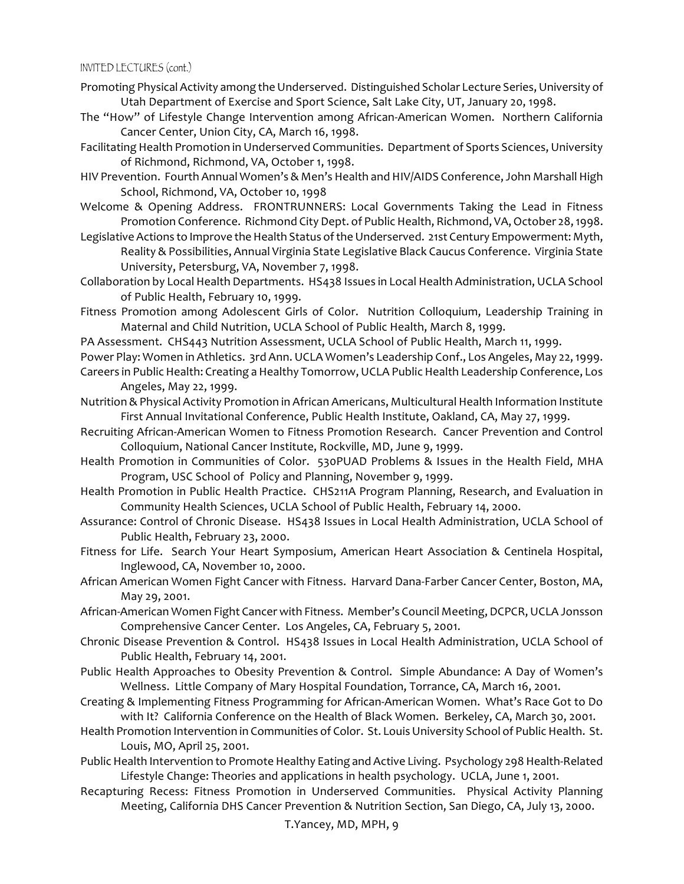- Promoting Physical Activity among the Underserved. Distinguished Scholar Lecture Series, University of Utah Department of Exercise and Sport Science, Salt Lake City, UT, January 20, 1998.
- The "How" of Lifestyle Change Intervention among African-American Women. Northern California Cancer Center, Union City, CA, March 16, 1998.
- Facilitating Health Promotion in Underserved Communities. Department of Sports Sciences, University of Richmond, Richmond, VA, October 1, 1998.
- HIV Prevention. Fourth Annual Women's & Men's Health and HIV/AIDS Conference, John Marshall High School, Richmond, VA, October 10, 1998
- Welcome & Opening Address. FRONTRUNNERS: Local Governments Taking the Lead in Fitness Promotion Conference. Richmond City Dept. of Public Health, Richmond, VA, October 28, 1998.
- Legislative Actions to Improve the Health Status of the Underserved. 21st Century Empowerment: Myth, Reality & Possibilities, Annual Virginia State Legislative Black Caucus Conference. Virginia State University, Petersburg, VA, November 7, 1998.
- Collaboration by Local Health Departments. HS438 Issues in Local Health Administration, UCLA School of Public Health, February 10, 1999.
- Fitness Promotion among Adolescent Girls of Color. Nutrition Colloquium, Leadership Training in Maternal and Child Nutrition, UCLA School of Public Health, March 8, 1999.
- PA Assessment. CHS443 Nutrition Assessment, UCLA School of Public Health, March 11, 1999.
- Power Play: Women in Athletics. 3rd Ann. UCLA Women's Leadership Conf., Los Angeles, May 22, 1999. Careers in Public Health: Creating a Healthy Tomorrow, UCLA Public Health Leadership Conference, Los
- Angeles, May 22, 1999.
- Nutrition & Physical Activity Promotion in African Americans, Multicultural Health Information Institute First Annual Invitational Conference, Public Health Institute, Oakland, CA, May 27, 1999.
- Recruiting African-American Women to Fitness Promotion Research. Cancer Prevention and Control Colloquium, National Cancer Institute, Rockville, MD, June 9, 1999.
- Health Promotion in Communities of Color. 530PUAD Problems & Issues in the Health Field, MHA Program, USC School of Policy and Planning, November 9, 1999.
- Health Promotion in Public Health Practice. CHS211A Program Planning, Research, and Evaluation in Community Health Sciences, UCLA School of Public Health, February 14, 2000.
- Assurance: Control of Chronic Disease. HS438 Issues in Local Health Administration, UCLA School of Public Health, February 23, 2000.
- Fitness for Life. Search Your Heart Symposium, American Heart Association & Centinela Hospital, Inglewood, CA, November 10, 2000.
- African American Women Fight Cancer with Fitness. Harvard Dana-Farber Cancer Center, Boston, MA, May 29, 2001.
- African-American Women Fight Cancer with Fitness. Member's Council Meeting, DCPCR, UCLA Jonsson Comprehensive Cancer Center. Los Angeles, CA, February 5, 2001.
- Chronic Disease Prevention & Control. HS438 Issues in Local Health Administration, UCLA School of Public Health, February 14, 2001.
- Public Health Approaches to Obesity Prevention & Control. Simple Abundance: A Day of Women's Wellness. Little Company of Mary Hospital Foundation, Torrance, CA, March 16, 2001.
- Creating & Implementing Fitness Programming for African-American Women. What's Race Got to Do with It? California Conference on the Health of Black Women. Berkeley, CA, March 30, 2001.
- Health Promotion Intervention in Communities of Color. St. Louis University School of Public Health. St. Louis, MO, April 25, 2001.
- Public Health Intervention to Promote Healthy Eating and Active Living. Psychology 298 Health-Related Lifestyle Change: Theories and applications in health psychology. UCLA, June 1, 2001.
- Recapturing Recess: Fitness Promotion in Underserved Communities. Physical Activity Planning Meeting, California DHS Cancer Prevention & Nutrition Section, San Diego, CA, July 13, 2000.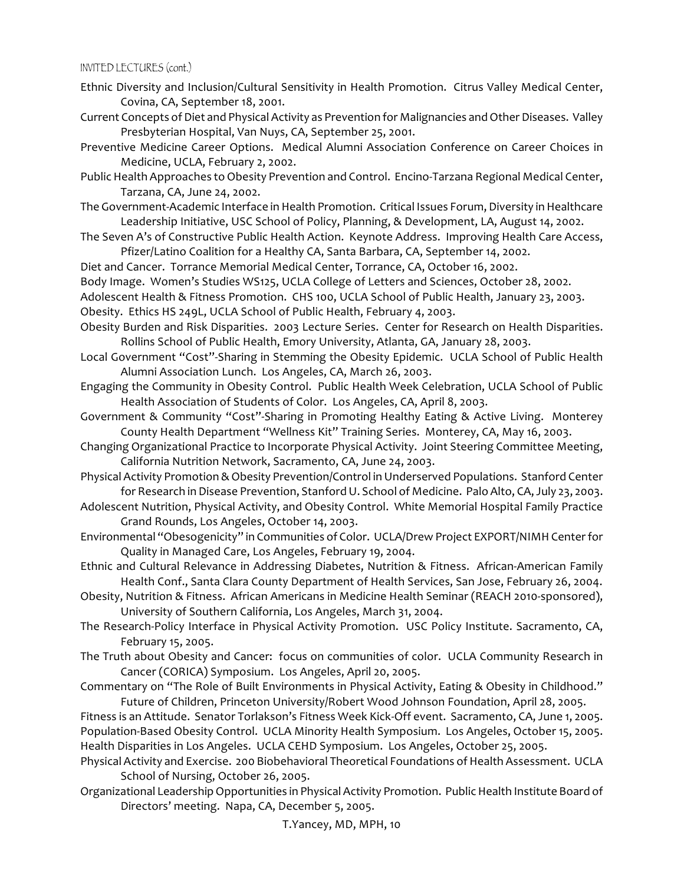- Ethnic Diversity and Inclusion/Cultural Sensitivity in Health Promotion. Citrus Valley Medical Center, Covina, CA, September 18, 2001.
- Current Concepts of Diet and Physical Activity as Prevention for Malignancies and Other Diseases. Valley Presbyterian Hospital, Van Nuys, CA, September 25, 2001.
- Preventive Medicine Career Options. Medical Alumni Association Conference on Career Choices in Medicine, UCLA, February 2, 2002.
- Public Health Approaches to Obesity Prevention and Control. Encino-Tarzana Regional Medical Center, Tarzana, CA, June 24, 2002.
- The Government-Academic Interface in Health Promotion. Critical Issues Forum, Diversity in Healthcare Leadership Initiative, USC School of Policy, Planning, & Development, LA, August 14, 2002.
- The Seven A's of Constructive Public Health Action. Keynote Address. Improving Health Care Access, Pfizer/Latino Coalition for a Healthy CA, Santa Barbara, CA, September 14, 2002.
- Diet and Cancer. Torrance Memorial Medical Center, Torrance, CA, October 16, 2002.
- Body Image. Women's Studies WS125, UCLA College of Letters and Sciences, October 28, 2002.
- Adolescent Health & Fitness Promotion. CHS 100, UCLA School of Public Health, January 23, 2003.

Obesity. Ethics HS 249L, UCLA School of Public Health, February 4, 2003.

- Obesity Burden and Risk Disparities. 2003 Lecture Series. Center for Research on Health Disparities. Rollins School of Public Health, Emory University, Atlanta, GA, January 28, 2003.
- Local Government "Cost"-Sharing in Stemming the Obesity Epidemic. UCLA School of Public Health Alumni Association Lunch. Los Angeles, CA, March 26, 2003.
- Engaging the Community in Obesity Control. Public Health Week Celebration, UCLA School of Public Health Association of Students of Color. Los Angeles, CA, April 8, 2003.
- Government & Community "Cost"-Sharing in Promoting Healthy Eating & Active Living. Monterey County Health Department "Wellness Kit" Training Series. Monterey, CA, May 16, 2003.
- Changing Organizational Practice to Incorporate Physical Activity. Joint Steering Committee Meeting, California Nutrition Network, Sacramento, CA, June 24, 2003.
- Physical Activity Promotion & Obesity Prevention/Control in Underserved Populations. Stanford Center for Research in Disease Prevention, Stanford U. School of Medicine. Palo Alto, CA, July 23, 2003.
- Adolescent Nutrition, Physical Activity, and Obesity Control. White Memorial Hospital Family Practice Grand Rounds, Los Angeles, October 14, 2003.
- Environmental "Obesogenicity" in Communities of Color. UCLA/Drew Project EXPORT/NIMH Center for Quality in Managed Care, Los Angeles, February 19, 2004.
- Ethnic and Cultural Relevance in Addressing Diabetes, Nutrition & Fitness. African-American Family Health Conf., Santa Clara County Department of Health Services, San Jose, February 26, 2004.
- Obesity, Nutrition & Fitness. African Americans in Medicine Health Seminar (REACH 2010-sponsored), University of Southern California, Los Angeles, March 31, 2004.
- The Research-Policy Interface in Physical Activity Promotion. USC Policy Institute. Sacramento, CA, February 15, 2005.
- The Truth about Obesity and Cancer: focus on communities of color. UCLA Community Research in Cancer (CORICA) Symposium. Los Angeles, April 20, 2005.
- Commentary on "The Role of Built Environments in Physical Activity, Eating & Obesity in Childhood." Future of Children, Princeton University/Robert Wood Johnson Foundation, April 28, 2005.

Fitness is an Attitude. Senator Torlakson's Fitness Week Kick-Off event. Sacramento, CA, June 1, 2005. Population-Based Obesity Control. UCLA Minority Health Symposium. Los Angeles, October 15, 2005. Health Disparities in Los Angeles. UCLA CEHD Symposium. Los Angeles, October 25, 2005.

- Physical Activity and Exercise. 200 Biobehavioral Theoretical Foundations of Health Assessment. UCLA School of Nursing, October 26, 2005.
- Organizational Leadership Opportunities in Physical Activity Promotion. Public Health Institute Board of Directors' meeting. Napa, CA, December 5, 2005.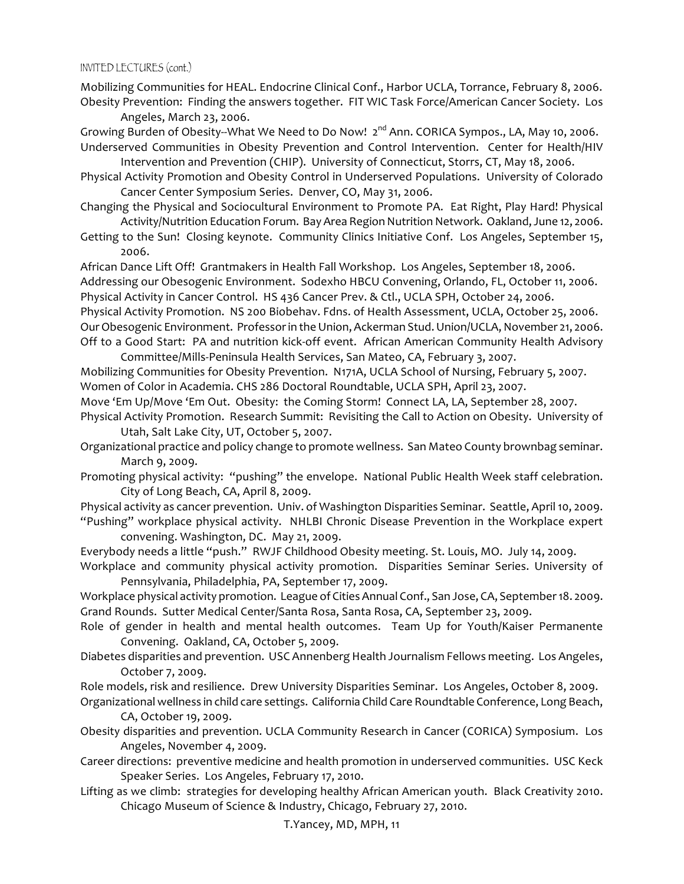Mobilizing Communities for HEAL. Endocrine Clinical Conf., Harbor UCLA, Torrance, February 8, 2006. Obesity Prevention: Finding the answers together. FIT WIC Task Force/American Cancer Society. Los Angeles, March 23, 2006.

- Growing Burden of Obesity--What We Need to Do Now! 2<sup>nd</sup> Ann. CORICA Sympos., LA, May 10, 2006. Underserved Communities in Obesity Prevention and Control Intervention. Center for Health/HIV
- Intervention and Prevention (CHIP). University of Connecticut, Storrs, CT, May 18, 2006. Physical Activity Promotion and Obesity Control in Underserved Populations. University of Colorado

Cancer Center Symposium Series. Denver, CO, May 31, 2006.

- Changing the Physical and Sociocultural Environment to Promote PA. Eat Right, Play Hard! Physical Activity/Nutrition Education Forum. Bay Area Region Nutrition Network. Oakland, June 12, 2006.
- Getting to the Sun! Closing keynote. Community Clinics Initiative Conf. Los Angeles, September 15, 2006.

African Dance Lift Off! Grantmakers in Health Fall Workshop. Los Angeles, September 18, 2006. Addressing our Obesogenic Environment. Sodexho HBCU Convening, Orlando, FL, October 11, 2006. Physical Activity in Cancer Control. HS 436 Cancer Prev. & Ctl., UCLA SPH, October 24, 2006. Physical Activity Promotion. NS 200 Biobehav. Fdns. of Health Assessment, UCLA, October 25, 2006. Our Obesogenic Environment. Professor in the Union, Ackerman Stud. Union/UCLA, November 21, 2006.

Off to a Good Start: PA and nutrition kick-off event. African American Community Health Advisory Committee/Mills-Peninsula Health Services, San Mateo, CA, February 3, 2007.

Mobilizing Communities for Obesity Prevention. N171A, UCLA School of Nursing, February 5, 2007. Women of Color in Academia. CHS 286 Doctoral Roundtable, UCLA SPH, April 23, 2007.

- Move 'Em Up/Move 'Em Out. Obesity: the Coming Storm! Connect LA, LA, September 28, 2007. Physical Activity Promotion. Research Summit: Revisiting the Call to Action on Obesity. University of
- Utah, Salt Lake City, UT, October 5, 2007. Organizational practice and policy change to promote wellness. San Mateo County brownbag seminar. March 9, 2009.
- Promoting physical activity: "pushing" the envelope. National Public Health Week staff celebration. City of Long Beach, CA, April 8, 2009.
- Physical activity as cancer prevention. Univ. of Washington Disparities Seminar. Seattle, April 10, 2009. "Pushing" workplace physical activity. NHLBI Chronic Disease Prevention in the Workplace expert convening. Washington, DC. May 21, 2009.
- Everybody needs a little "push." RWJF Childhood Obesity meeting. St. Louis, MO. July 14, 2009.
- Workplace and community physical activity promotion. Disparities Seminar Series. University of Pennsylvania, Philadelphia, PA, September 17, 2009.

Workplace physical activity promotion. League of Cities Annual Conf., San Jose, CA, September 18. 2009. Grand Rounds. Sutter Medical Center/Santa Rosa, Santa Rosa, CA, September 23, 2009.

- Role of gender in health and mental health outcomes. Team Up for Youth/Kaiser Permanente Convening. Oakland, CA, October 5, 2009.
- Diabetes disparities and prevention. USC Annenberg Health Journalism Fellows meeting. Los Angeles, October 7, 2009.

Role models, risk and resilience. Drew University Disparities Seminar. Los Angeles, October 8, 2009.

- Organizational wellness in child care settings. California Child Care Roundtable Conference, Long Beach, CA, October 19, 2009.
- Obesity disparities and prevention. UCLA Community Research in Cancer (CORICA) Symposium. Los Angeles, November 4, 2009.
- Career directions: preventive medicine and health promotion in underserved communities. USC Keck Speaker Series. Los Angeles, February 17, 2010.
- Lifting as we climb: strategies for developing healthy African American youth. Black Creativity 2010. Chicago Museum of Science & Industry, Chicago, February 27, 2010.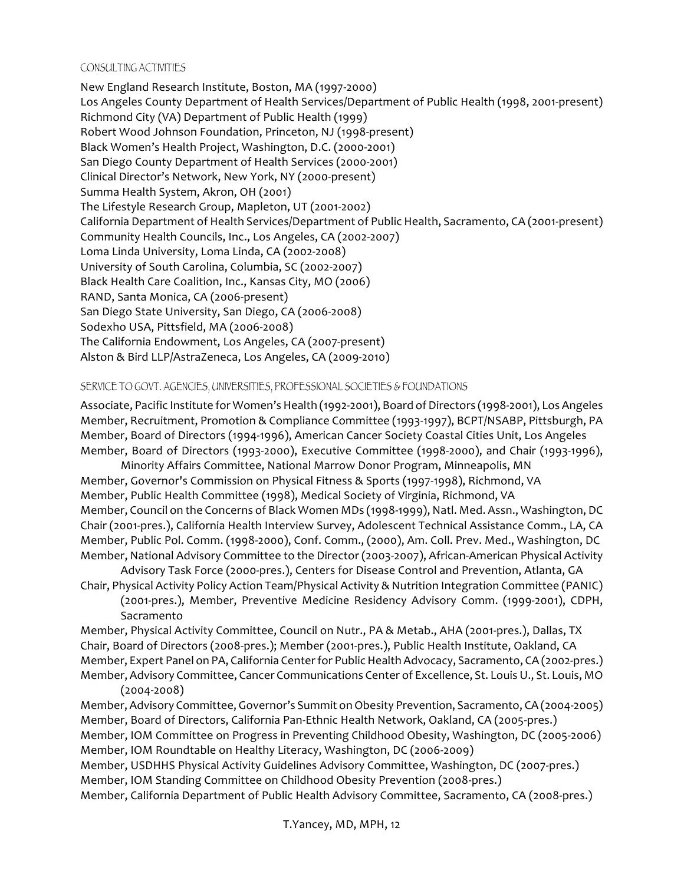#### CONSULTING ACTIVITIES

New England Research Institute, Boston, MA (1997-2000) Los Angeles County Department of Health Services/Department of Public Health (1998, 2001-present) Richmond City (VA) Department of Public Health (1999) Robert Wood Johnson Foundation, Princeton, NJ (1998-present) Black Women's Health Project, Washington, D.C. (2000-2001) San Diego County Department of Health Services (2000-2001) Clinical Director's Network, New York, NY (2000-present) Summa Health System, Akron, OH (2001) The Lifestyle Research Group, Mapleton, UT (2001-2002) California Department of Health Services/Department of Public Health, Sacramento, CA (2001-present) Community Health Councils, Inc., Los Angeles, CA (2002-2007) Loma Linda University, Loma Linda, CA (2002-2008) University of South Carolina, Columbia, SC (2002-2007) Black Health Care Coalition, Inc., Kansas City, MO (2006) RAND, Santa Monica, CA (2006-present) San Diego State University, San Diego, CA (2006-2008) Sodexho USA, Pittsfield, MA (2006-2008) The California Endowment, Los Angeles, CA (2007-present) Alston & Bird LLP/AstraZeneca, Los Angeles, CA (2009-2010)

### SERVICE TO GOVT. AGENCIES, UNIVERSITIES, PROFESSIONAL SOCIETIES & FOUNDATIONS

Associate, Pacific Institute for Women's Health (1992-2001), Board of Directors (1998-2001), Los Angeles Member, Recruitment, Promotion & Compliance Committee (1993-1997), BCPT/NSABP, Pittsburgh, PA Member, Board of Directors (1994-1996), American Cancer Society Coastal Cities Unit, Los Angeles Member, Board of Directors (1993-2000), Executive Committee (1998-2000), and Chair (1993-1996),

Minority Affairs Committee, National Marrow Donor Program, Minneapolis, MN Member, Governor's Commission on Physical Fitness & Sports (1997-1998), Richmond, VA Member, Public Health Committee (1998), Medical Society of Virginia, Richmond, VA Member, Council on the Concerns of Black Women MDs (1998-1999), Natl. Med. Assn., Washington, DC Chair (2001-pres.), California Health Interview Survey, Adolescent Technical Assistance Comm., LA, CA Member, Public Pol. Comm. (1998-2000), Conf. Comm., (2000), Am. Coll. Prev. Med., Washington, DC Member, National Advisory Committee to the Director (2003-2007), African-American Physical Activity

Advisory Task Force (2000-pres.), Centers for Disease Control and Prevention, Atlanta, GA Chair, Physical Activity Policy Action Team/Physical Activity & Nutrition Integration Committee (PANIC)

(2001-pres.), Member, Preventive Medicine Residency Advisory Comm. (1999-2001), CDPH, Sacramento

Member, Physical Activity Committee, Council on Nutr., PA & Metab., AHA (2001-pres.), Dallas, TX Chair, Board of Directors (2008-pres.); Member (2001-pres.), Public Health Institute, Oakland, CA Member, Expert Panel on PA, California Center for Public Health Advocacy, Sacramento, CA (2002-pres.) Member, Advisory Committee, Cancer Communications Center of Excellence, St. Louis U., St. Louis, MO  $(2004 - 2008)$ 

Member, Advisory Committee, Governor's Summit on Obesity Prevention, Sacramento, CA (2004-2005) Member, Board of Directors, California Pan-Ethnic Health Network, Oakland, CA (2005-pres.) Member, IOM Committee on Progress in Preventing Childhood Obesity, Washington, DC (2005-2006) Member, IOM Roundtable on Healthy Literacy, Washington, DC (2006-2009)

Member, USDHHS Physical Activity Guidelines Advisory Committee, Washington, DC (2007-pres.) Member, IOM Standing Committee on Childhood Obesity Prevention (2008-pres.)

Member, California Department of Public Health Advisory Committee, Sacramento, CA (2008-pres.)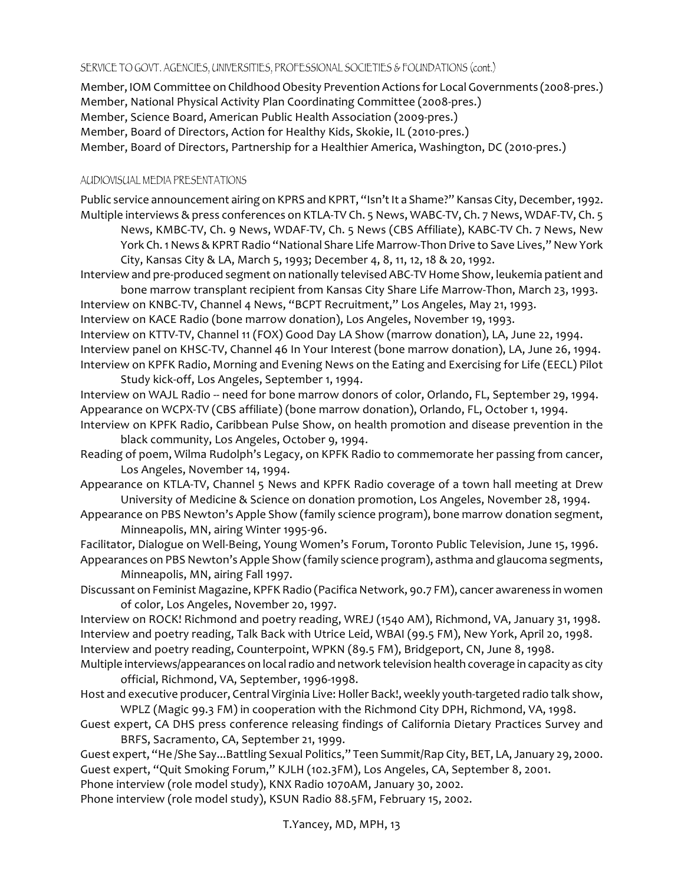### SERVICE TO GOVT. AGENCIES, UNIVERSITIES, PROFESSIONAL SOCIETIES & FOUNDATIONS (cont.)

Member, IOM Committee on Childhood Obesity Prevention Actions for Local Governments (2008-pres.) Member, National Physical Activity Plan Coordinating Committee (2008-pres.) Member, Science Board, American Public Health Association (2009-pres.) Member, Board of Directors, Action for Healthy Kids, Skokie, IL (2010-pres.) Member, Board of Directors, Partnership for a Healthier America, Washington, DC (2010-pres.)

### AUDIOVISUAL MEDIA PRESENTATIONS

Public service announcement airing on KPRS and KPRT, "Isn't It a Shame?" Kansas City, December, 1992. Multiple interviews & press conferences on KTLA-TV Ch. 5 News, WABC-TV, Ch. 7 News, WDAF-TV, Ch. 5 News, KMBC-TV, Ch. 9 News, WDAF-TV, Ch. 5 News (CBS Affiliate), KABC-TV Ch. 7 News, New York Ch. 1 News & KPRT Radio "National Share Life Marrow-Thon Drive to Save Lives," New York City, Kansas City & LA, March 5, 1993; December 4, 8, 11, 12, 18 & 20, 1992.

Interview and pre-produced segment on nationally televised ABC-TV Home Show, leukemia patient and bone marrow transplant recipient from Kansas City Share Life Marrow-Thon, March 23, 1993.

Interview on KNBC-TV, Channel 4 News, "BCPT Recruitment," Los Angeles, May 21, 1993. Interview on KACE Radio (bone marrow donation), Los Angeles, November 19, 1993. Interview on KTTV-TV, Channel 11 (FOX) Good Day LA Show (marrow donation), LA, June 22, 1994. Interview panel on KHSC-TV, Channel 46 In Your Interest (bone marrow donation), LA, June 26, 1994. Interview on KPFK Radio, Morning and Evening News on the Eating and Exercising for Life (EECL) Pilot Study kick-off, Los Angeles, September 1, 1994.

Interview on WAJL Radio -- need for bone marrow donors of color, Orlando, FL, September 29, 1994. Appearance on WCPX-TV (CBS affiliate) (bone marrow donation), Orlando, FL, October 1, 1994.

Interview on KPFK Radio, Caribbean Pulse Show, on health promotion and disease prevention in the black community, Los Angeles, October 9, 1994.

Reading of poem, Wilma Rudolph's Legacy, on KPFK Radio to commemorate her passing from cancer, Los Angeles, November 14, 1994.

Appearance on KTLA-TV, Channel 5 News and KPFK Radio coverage of a town hall meeting at Drew University of Medicine & Science on donation promotion, Los Angeles, November 28, 1994.

Appearance on PBS Newton's Apple Show (family science program), bone marrow donation segment, Minneapolis, MN, airing Winter 1995-96.

Facilitator, Dialogue on Well-Being, Young Women's Forum, Toronto Public Television, June 15, 1996.

Appearances on PBS Newton's Apple Show (family science program), asthma and glaucoma segments, Minneapolis, MN, airing Fall 1997.

Discussant on Feminist Magazine, KPFK Radio (Pacifica Network, 90.7 FM), cancer awareness in women of color, Los Angeles, November 20, 1997.

Interview on ROCK! Richmond and poetry reading, WREJ (1540 AM), Richmond, VA, January 31, 1998. Interview and poetry reading, Talk Back with Utrice Leid, WBAI (99.5 FM), New York, April 20, 1998. Interview and poetry reading, Counterpoint, WPKN (89.5 FM), Bridgeport, CN, June 8, 1998.

Multiple interviews/appearances on local radio and network television health coverage in capacity as city official, Richmond, VA, September, 1996-1998.

- Host and executive producer, Central Virginia Live: Holler Back!, weekly youth-targeted radio talk show, WPLZ (Magic 99.3 FM) in cooperation with the Richmond City DPH, Richmond, VA, 1998.
- Guest expert, CA DHS press conference releasing findings of California Dietary Practices Survey and BRFS, Sacramento, CA, September 21, 1999.

Guest expert, "He /She Say...Battling Sexual Politics," Teen Summit/Rap City, BET, LA, January 29, 2000. Guest expert, "Quit Smoking Forum," KJLH (102.3FM), Los Angeles, CA, September 8, 2001.

Phone interview (role model study), KNX Radio 1070AM, January 30, 2002.

Phone interview (role model study), KSUN Radio 88.5FM, February 15, 2002.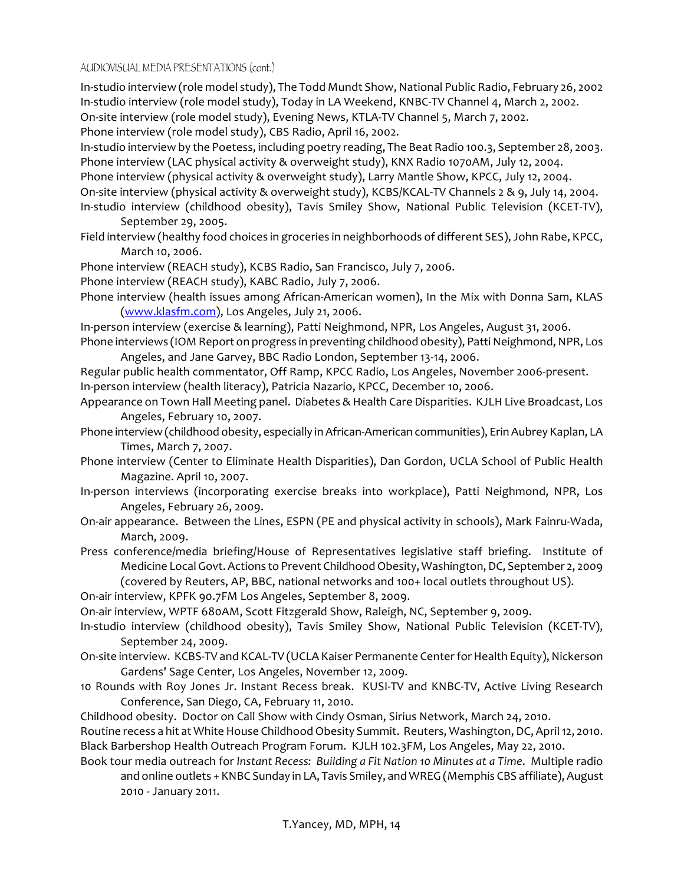## AUDIOVISUAL MEDIA PRESENTATIONS (cont.)

In-studio interview (role model study), The Todd Mundt Show, National Public Radio, February 26, 2002 In-studio interview (role model study), Today in LA Weekend, KNBC-TV Channel 4, March 2, 2002. On-site interview (role model study), Evening News, KTLA-TV Channel 5, March 7, 2002. Phone interview (role model study), CBS Radio, April 16, 2002.

In-studio interview by the Poetess, including poetry reading, The Beat Radio 100.3, September 28, 2003. Phone interview (LAC physical activity & overweight study), KNX Radio 1070AM, July 12, 2004.

Phone interview (physical activity & overweight study), Larry Mantle Show, KPCC, July 12, 2004.

On-site interview (physical activity & overweight study), KCBS/KCAL-TV Channels 2 & 9, July 14, 2004.

- In-studio interview (childhood obesity), Tavis Smiley Show, National Public Television (KCET-TV), September 29, 2005.
- Field interview (healthy food choices in groceries in neighborhoods of different SES), John Rabe, KPCC, March 10, 2006.
- Phone interview (REACH study), KCBS Radio, San Francisco, July 7, 2006.

Phone interview (REACH study), KABC Radio, July 7, 2006.

Phone interview (health issues among African-American women), In the Mix with Donna Sam, KLAS (www.klasfm.com), Los Angeles, July 21, 2006.

In-person interview (exercise & learning), Patti Neighmond, NPR, Los Angeles, August 31, 2006. Phone interviews (IOM Report on progress in preventing childhood obesity), Patti Neighmond, NPR, Los

Angeles, and Jane Garvey, BBC Radio London, September 13-14, 2006. Regular public health commentator, Off Ramp, KPCC Radio, Los Angeles, November 2006-present. In-person interview (health literacy), Patricia Nazario, KPCC, December 10, 2006.

Appearance on Town Hall Meeting panel. Diabetes & Health Care Disparities. KJLH Live Broadcast, Los Angeles, February 10, 2007.

- Phone interview (childhood obesity, especially in African-American communities), Erin Aubrey Kaplan, LA Times, March 7, 2007.
- Phone interview (Center to Eliminate Health Disparities), Dan Gordon, UCLA School of Public Health Magazine. April 10, 2007.
- In-person interviews (incorporating exercise breaks into workplace), Patti Neighmond, NPR, Los Angeles, February 26, 2009.
- On-air appearance. Between the Lines, ESPN (PE and physical activity in schools), Mark Fainru-Wada, March, 2009.
- Press conference/media briefing/House of Representatives legislative staff briefing. Institute of Medicine Local Govt. Actions to Prevent Childhood Obesity, Washington, DC, September 2, 2009 (covered by Reuters, AP, BBC, national networks and 100+ local outlets throughout US).
- On-air interview, KPFK 90.7FM Los Angeles, September 8, 2009.

On-air interview, WPTF 680AM, Scott Fitzgerald Show, Raleigh, NC, September 9, 2009.

- In-studio interview (childhood obesity), Tavis Smiley Show, National Public Television (KCET-TV), September 24, 2009.
- On-site interview. KCBS-TV and KCAL-TV (UCLA Kaiser Permanente Center for Health Equity), Nickerson Gardens' Sage Center, Los Angeles, November 12, 2009.
- 10 Rounds with Roy Jones Jr. Instant Recess break. KUSI-TV and KNBC-TV, Active Living Research Conference, San Diego, CA, February 11, 2010.

Childhood obesity. Doctor on Call Show with Cindy Osman, Sirius Network, March 24, 2010.

Routine recess a hit at White House Childhood Obesity Summit. Reuters, Washington, DC, April 12, 2010. Black Barbershop Health Outreach Program Forum. KJLH 102.3FM, Los Angeles, May 22, 2010.

Book tour media outreach for *Instant Recess: Building a Fit Nation 10 Minutes at a Time. Multiple radio* and online outlets + KNBC Sunday in LA, Tavis Smiley, and WREG (Memphis CBS affiliate), August 2010 - January 2011.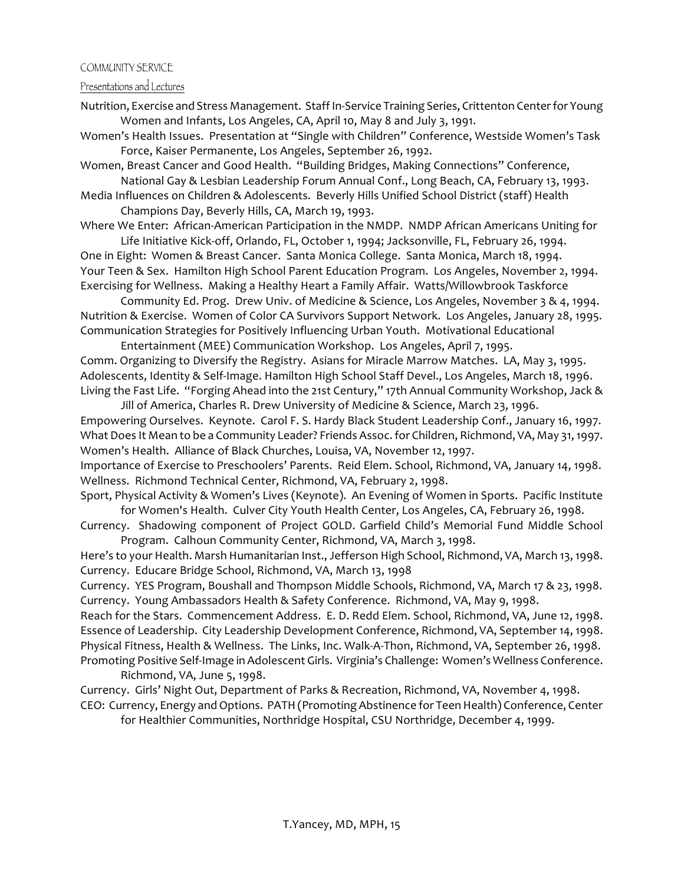#### COMMUNITY SERVICE

Presentations and Lectures

Nutrition, Exercise and Stress Management. Staff In-Service Training Series, Crittenton Center for Young Women and Infants, Los Angeles, CA, April 10, May 8 and July 3, 1991.

Women's Health Issues. Presentation at "Single with Children" Conference, Westside Women's Task Force, Kaiser Permanente, Los Angeles, September 26, 1992.

Women, Breast Cancer and Good Health. "Building Bridges, Making Connections" Conference, National Gay & Lesbian Leadership Forum Annual Conf., Long Beach, CA, February 13, 1993.

Media Influences on Children & Adolescents. Beverly Hills Unified School District (staff) Health Champions Day, Beverly Hills, CA, March 19, 1993.

Where We Enter: African-American Participation in the NMDP. NMDP African Americans Uniting for Life Initiative Kick-off, Orlando, FL, October 1, 1994; Jacksonville, FL, February 26, 1994.

One in Eight: Women & Breast Cancer. Santa Monica College. Santa Monica, March 18, 1994. Your Teen & Sex. Hamilton High School Parent Education Program. Los Angeles, November 2, 1994. Exercising for Wellness. Making a Healthy Heart a Family Affair. Watts/Willowbrook Taskforce

Community Ed. Prog. Drew Univ. of Medicine & Science, Los Angeles, November 3 & 4, 1994. Nutrition & Exercise. Women of Color CA Survivors Support Network. Los Angeles, January 28, 1995. Communication Strategies for Positively Influencing Urban Youth. Motivational Educational

Entertainment (MEE) Communication Workshop. Los Angeles, April 7, 1995. Comm. Organizing to Diversify the Registry. Asians for Miracle Marrow Matches. LA, May 3, 1995. Adolescents, Identity & Self-Image. Hamilton High School Staff Devel., Los Angeles, March 18, 1996. Living the Fast Life. "Forging Ahead into the 21st Century," 17th Annual Community Workshop, Jack &

Jill of America, Charles R. Drew University of Medicine & Science, March 23, 1996. Empowering Ourselves. Keynote. Carol F. S. Hardy Black Student Leadership Conf., January 16, 1997. What Does It Mean to be a Community Leader? Friends Assoc. for Children, Richmond, VA, May 31, 1997. Women's Health. Alliance of Black Churches, Louisa, VA, November 12, 1997.

Importance of Exercise to Preschoolers' Parents. Reid Elem. School, Richmond, VA, January 14, 1998. Wellness. Richmond Technical Center, Richmond, VA, February 2, 1998.

Sport, Physical Activity & Women's Lives (Keynote). An Evening of Women in Sports. Pacific Institute for Women's Health. Culver City Youth Health Center, Los Angeles, CA, February 26, 1998.

Currency. Shadowing component of Project GOLD. Garfield Child's Memorial Fund Middle School Program. Calhoun Community Center, Richmond, VA, March 3, 1998.

Here's to your Health. Marsh Humanitarian Inst., Jefferson High School, Richmond, VA, March 13, 1998. Currency. Educare Bridge School, Richmond, VA, March 13, 1998

Currency. YES Program, Boushall and Thompson Middle Schools, Richmond, VA, March 17 & 23, 1998. Currency. Young Ambassadors Health & Safety Conference. Richmond, VA, May 9, 1998.

Reach for the Stars. Commencement Address. E. D. Redd Elem. School, Richmond, VA, June 12, 1998. Essence of Leadership. City Leadership Development Conference, Richmond, VA, September 14, 1998. Physical Fitness, Health & Wellness. The Links, Inc. Walk-A-Thon, Richmond, VA, September 26, 1998. Promoting Positive Self-Image in Adolescent Girls. Virginia's Challenge: Women's Wellness Conference. Richmond, VA, June 5, 1998.

Currency. Girls' Night Out, Department of Parks & Recreation, Richmond, VA, November 4, 1998. CEO: Currency, Energy and Options. PATH (Promoting Abstinence for Teen Health) Conference, Center

for Healthier Communities, Northridge Hospital, CSU Northridge, December 4, 1999.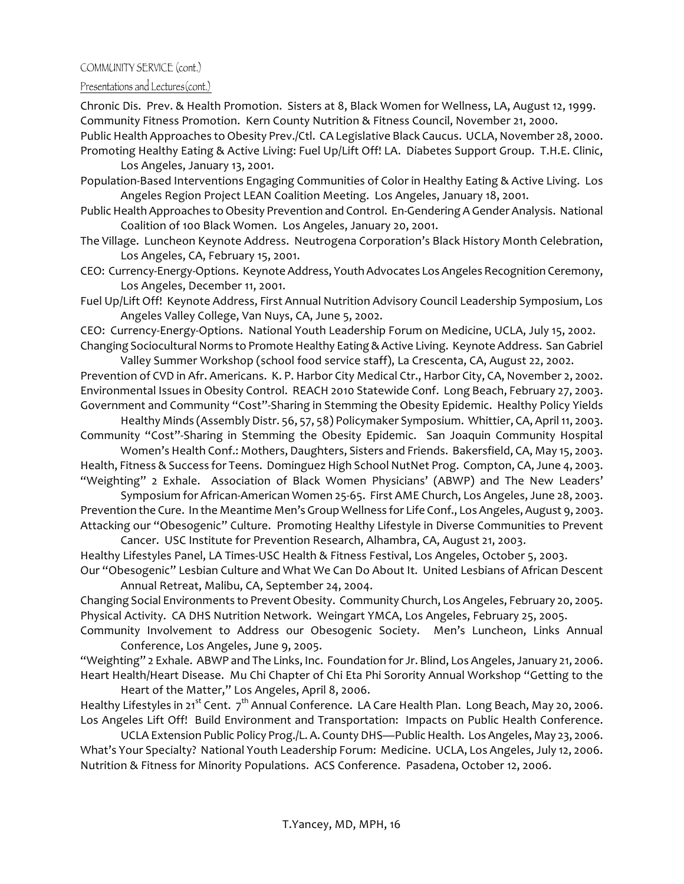### Presentations and Lectures(cont.)

Chronic Dis. Prev. & Health Promotion. Sisters at 8, Black Women for Wellness, LA, August 12, 1999. Community Fitness Promotion. Kern County Nutrition & Fitness Council, November 21, 2000.

- Public Health Approaches to Obesity Prev./Ctl. CA Legislative Black Caucus. UCLA, November 28, 2000. Promoting Healthy Eating & Active Living: Fuel Up/Lift Off! LA. Diabetes Support Group. T.H.E. Clinic, Los Angeles, January 13, 2001.
- Population-Based Interventions Engaging Communities of Color in Healthy Eating & Active Living. Los Angeles Region Project LEAN Coalition Meeting. Los Angeles, January 18, 2001.
- Public Health Approaches to Obesity Prevention and Control. En-Gendering A Gender Analysis. National Coalition of 100 Black Women. Los Angeles, January 20, 2001.
- The Village. Luncheon Keynote Address. Neutrogena Corporation's Black History Month Celebration, Los Angeles, CA, February 15, 2001.
- CEO: Currency-Energy-Options. Keynote Address, Youth Advocates Los Angeles Recognition Ceremony, Los Angeles, December 11, 2001.
- Fuel Up/Lift Off! Keynote Address, First Annual Nutrition Advisory Council Leadership Symposium, Los Angeles Valley College, Van Nuys, CA, June 5, 2002.

CEO: Currency-Energy-Options. National Youth Leadership Forum on Medicine, UCLA, July 15, 2002. Changing Sociocultural Norms to Promote Healthy Eating & Active Living. Keynote Address. San Gabriel

Valley Summer Workshop (school food service staff), La Crescenta, CA, August 22, 2002. Prevention of CVD in Afr. Americans. K. P. Harbor City Medical Ctr., Harbor City, CA, November 2, 2002. Environmental Issues in Obesity Control. REACH 2010 Statewide Conf. Long Beach, February 27, 2003. Government and Community "Cost"-Sharing in Stemming the Obesity Epidemic. Healthy Policy Yields

Healthy Minds (Assembly Distr. 56, 57, 58) Policymaker Symposium. Whittier, CA, April 11, 2003. Community "Cost"-Sharing in Stemming the Obesity Epidemic. San Joaquin Community Hospital

Women's Health Conf.: Mothers, Daughters, Sisters and Friends. Bakersfield, CA, May 15, 2003. Health, Fitness & Success for Teens. Dominguez High School NutNet Prog. Compton, CA, June 4, 2003. "Weighting" 2 Exhale. Association of Black Women Physicians' (ABWP) and The New Leaders'

Symposium for African-American Women 25-65. First AME Church, Los Angeles, June 28, 2003. Prevention the Cure. In the Meantime Men's Group Wellness for Life Conf., Los Angeles, August 9, 2003. Attacking our "Obesogenic" Culture. Promoting Healthy Lifestyle in Diverse Communities to Prevent

Cancer. USC Institute for Prevention Research, Alhambra, CA, August 21, 2003.

Healthy Lifestyles Panel, LA Times-USC Health & Fitness Festival, Los Angeles, October 5, 2003. Our "Obesogenic" Lesbian Culture and What We Can Do About It. United Lesbians of African Descent

Annual Retreat, Malibu, CA, September 24, 2004.

Changing Social Environments to Prevent Obesity. Community Church, Los Angeles, February 20, 2005. Physical Activity. CA DHS Nutrition Network. Weingart YMCA, Los Angeles, February 25, 2005.

Community Involvement to Address our Obesogenic Society. Men's Luncheon, Links Annual Conference, Los Angeles, June 9, 2005.

"Weighting" 2 Exhale. ABWP and The Links, Inc. Foundation for Jr. Blind, Los Angeles, January 21, 2006. Heart Health/Heart Disease. Mu Chi Chapter of Chi Eta Phi Sorority Annual Workshop "Getting to the Heart of the Matter," Los Angeles, April 8, 2006.

Healthy Lifestyles in 21<sup>st</sup> Cent.  $7<sup>th</sup>$  Annual Conference. LA Care Health Plan. Long Beach, May 20, 2006. Los Angeles Lift Off! Build Environment and Transportation: Impacts on Public Health Conference.

UCLA Extension Public Policy Prog./L. A. County DHS—Public Health. Los Angeles, May 23, 2006. What's Your Specialty? National Youth Leadership Forum: Medicine. UCLA, Los Angeles, July 12, 2006. Nutrition & Fitness for Minority Populations. ACS Conference. Pasadena, October 12, 2006.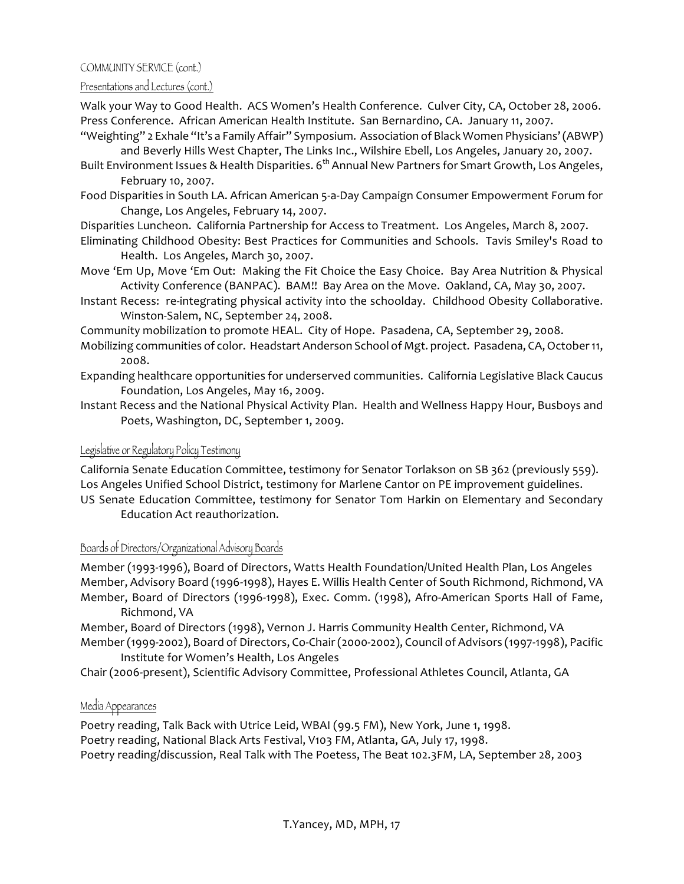### Presentations and Lectures (cont.)

Walk your Way to Good Health. ACS Women's Health Conference. Culver City, CA, October 28, 2006. Press Conference. African American Health Institute. San Bernardino, CA. January 11, 2007.

"Weighting" 2 Exhale "It's a Family Affair" Symposium. Association of Black Women Physicians' (ABWP) and Beverly Hills West Chapter, The Links Inc., Wilshire Ebell, Los Angeles, January 20, 2007.

- Built Environment Issues & Health Disparities. 6<sup>th</sup> Annual New Partners for Smart Growth, Los Angeles, February 10, 2007.
- Food Disparities in South LA. African American 5-a-Day Campaign Consumer Empowerment Forum for Change, Los Angeles, February 14, 2007.
- Disparities Luncheon. California Partnership for Access to Treatment. Los Angeles, March 8, 2007.
- Eliminating Childhood Obesity: Best Practices for Communities and Schools. Tavis Smiley's Road to Health. Los Angeles, March 30, 2007.
- Move 'Em Up, Move 'Em Out: Making the Fit Choice the Easy Choice. Bay Area Nutrition & Physical Activity Conference (BANPAC). BAM!! Bay Area on the Move. Oakland, CA, May 30, 2007.
- Instant Recess: re-integrating physical activity into the schoolday. Childhood Obesity Collaborative. Winston-Salem, NC, September 24, 2008.

Community mobilization to promote HEAL. City of Hope. Pasadena, CA, September 29, 2008.

- Mobilizing communities of color. Headstart Anderson School of Mgt. project. Pasadena, CA, October 11, 2008.
- Expanding healthcare opportunities for underserved communities. California Legislative Black Caucus Foundation, Los Angeles, May 16, 2009.
- Instant Recess and the National Physical Activity Plan. Health and Wellness Happy Hour, Busboys and Poets, Washington, DC, September 1, 2009.

## Legislative or Regulatory Policy Testimony

California Senate Education Committee, testimony for Senator Torlakson on SB 362 (previously 559). Los Angeles Unified School District, testimony for Marlene Cantor on PE improvement guidelines.

US Senate Education Committee, testimony for Senator Tom Harkin on Elementary and Secondary Education Act reauthorization.

### Boards of Directors/Organizational Advisory Boards

Member (1993-1996), Board of Directors, Watts Health Foundation/United Health Plan, Los Angeles Member, Advisory Board (1996-1998), Hayes E. Willis Health Center of South Richmond, Richmond, VA Member, Board of Directors (1996-1998), Exec. Comm. (1998), Afro-American Sports Hall of Fame, Richmond, VA

Member, Board of Directors (1998), Vernon J. Harris Community Health Center, Richmond, VA

Member (1999-2002), Board of Directors, Co-Chair (2000-2002), Council of Advisors (1997-1998), Pacific Institute for Women's Health, Los Angeles

Chair (2006-present), Scientific Advisory Committee, Professional Athletes Council, Atlanta, GA

## Media Appearances

Poetry reading, Talk Back with Utrice Leid, WBAI (99.5 FM), New York, June 1, 1998. Poetry reading, National Black Arts Festival, V103 FM, Atlanta, GA, July 17, 1998. Poetry reading/discussion, Real Talk with The Poetess, The Beat 102.3FM, LA, September 28, 2003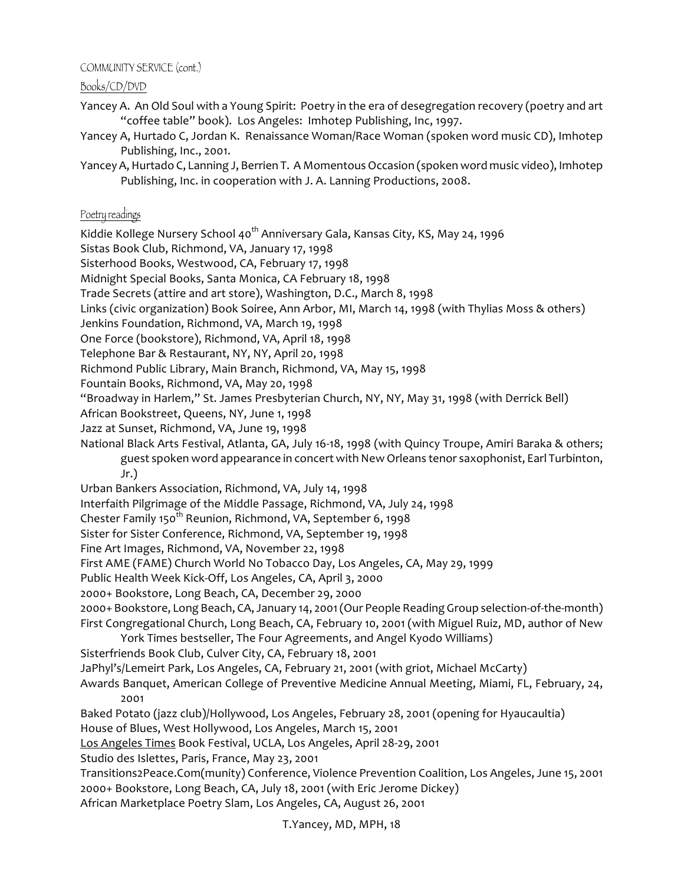Books/CD/DVD

- Yancey A. An Old Soul with a Young Spirit: Poetry in the era of desegregation recovery (poetry and art "coffee table" book). Los Angeles: Imhotep Publishing, Inc, 1997.
- Yancey A, Hurtado C, Jordan K. Renaissance Woman/Race Woman (spoken word music CD), Imhotep Publishing, Inc., 2001.
- Yancey A, Hurtado C, Lanning J, Berrien T. A Momentous Occasion (spoken word music video), Imhotep Publishing, Inc. in cooperation with J. A. Lanning Productions, 2008.

## Poetry readings

Kiddie Kollege Nursery School 40<sup>th</sup> Anniversary Gala, Kansas City, KS, May 24, 1996

Sistas Book Club, Richmond, VA, January 17, 1998

Sisterhood Books, Westwood, CA, February 17, 1998

Midnight Special Books, Santa Monica, CA February 18, 1998

Trade Secrets (attire and art store), Washington, D.C., March 8, 1998

Links (civic organization) Book Soiree, Ann Arbor, MI, March 14, 1998 (with Thylias Moss & others)

Jenkins Foundation, Richmond, VA, March 19, 1998

One Force (bookstore), Richmond, VA, April 18, 1998

Telephone Bar & Restaurant, NY, NY, April 20, 1998

Richmond Public Library, Main Branch, Richmond, VA, May 15, 1998

Fountain Books, Richmond, VA, May 20, 1998

"Broadway in Harlem," St. James Presbyterian Church, NY, NY, May 31, 1998 (with Derrick Bell)

African Bookstreet, Queens, NY, June 1, 1998

Jazz at Sunset, Richmond, VA, June 19, 1998

National Black Arts Festival, Atlanta, GA, July 16-18, 1998 (with Quincy Troupe, Amiri Baraka & others; guest spoken word appearance in concert with New Orleans tenor saxophonist, Earl Turbinton, Jr.)

Urban Bankers Association, Richmond, VA, July 14, 1998

Interfaith Pilgrimage of the Middle Passage, Richmond, VA, July 24, 1998

Chester Family 150<sup>th</sup> Reunion, Richmond, VA, September 6, 1998

Sister for Sister Conference, Richmond, VA, September 19, 1998

Fine Art Images, Richmond, VA, November 22, 1998

First AME (FAME) Church World No Tobacco Day, Los Angeles, CA, May 29, 1999

Public Health Week Kick-Off, Los Angeles, CA, April 3, 2000

2000+ Bookstore, Long Beach, CA, December 29, 2000

2000+ Bookstore, Long Beach, CA, January 14, 2001 (Our People Reading Group selection-of-the-month) First Congregational Church, Long Beach, CA, February 10, 2001 (with Miguel Ruiz, MD, author of New York Times bestseller, The Four Agreements, and Angel Kyodo Williams)

Sisterfriends Book Club, Culver City, CA, February 18, 2001

JaPhyl's/Lemeirt Park, Los Angeles, CA, February 21, 2001 (with griot, Michael McCarty)

Awards Banquet, American College of Preventive Medicine Annual Meeting, Miami, FL, February, 24, 2001

Baked Potato (jazz club)/Hollywood, Los Angeles, February 28, 2001 (opening for Hyaucaultia)

House of Blues, West Hollywood, Los Angeles, March 15, 2001

Los Angeles Times Book Festival, UCLA, Los Angeles, April 28-29, 2001

Studio des Islettes, Paris, France, May 23, 2001

Transitions2Peace.Com(munity) Conference, Violence Prevention Coalition, Los Angeles, June 15, 2001 2000+ Bookstore, Long Beach, CA, July 18, 2001 (with Eric Jerome Dickey)

African Marketplace Poetry Slam, Los Angeles, CA, August 26, 2001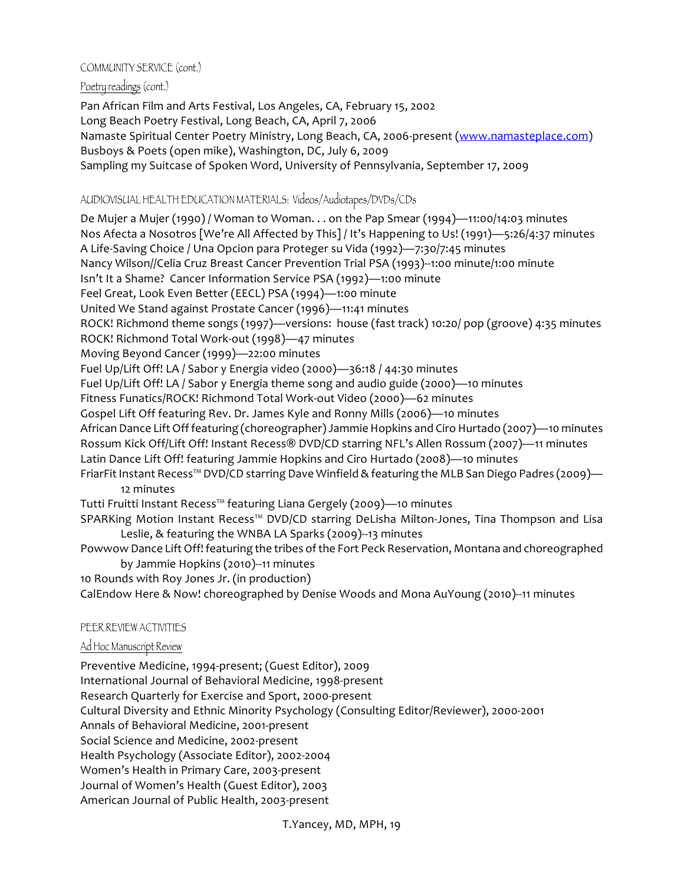## Poetry readings (cont.)

Pan African Film and Arts Festival, Los Angeles, CA, February 15, 2002 Long Beach Poetry Festival, Long Beach, CA, April 7, 2006 Namaste Spiritual Center Poetry Ministry, Long Beach, CA, 2006-present (www.namasteplace.com) Busboys & Poets (open mike), Washington, DC, July 6, 2009 Sampling my Suitcase of Spoken Word, University of Pennsylvania, September 17, 2009

## AUDIOVISUAL HEALTH EDUCATION MATERIALS: Videos/Audiotapes/DVDs/CDs

De Mujer a Mujer (1990) / Woman to Woman. . . on the Pap Smear (1994)—11:00/14:03 minutes Nos Afecta a Nosotros [We're All Affected by This] / It's Happening to Us! (1991)—5:26/4:37 minutes A Life-Saving Choice / Una Opcion para Proteger su Vida (1992)—7:30/7:45 minutes Nancy Wilson//Celia Cruz Breast Cancer Prevention Trial PSA (1993)--1:00 minute/1:00 minute Isn't It a Shame? Cancer Information Service PSA (1992)—1:00 minute Feel Great, Look Even Better (EECL) PSA (1994)-1:00 minute United We Stand against Prostate Cancer (1996)—11:41 minutes ROCK! Richmond theme songs (1997)—versions: house (fast track) 10:20/ pop (groove) 4:35 minutes ROCK! Richmond Total Work-out (1998)—47 minutes Moving Beyond Cancer (1999)—22:00 minutes Fuel Up/Lift Off! LA / Sabor y Energia video (2000)—36:18 / 44:30 minutes Fuel Up/Lift Off! LA / Sabor y Energia theme song and audio guide (2000)—10 minutes Fitness Funatics/ROCK! Richmond Total Work-out Video (2000)—62 minutes Gospel Lift Off featuring Rev. Dr. James Kyle and Ronny Mills (2006)—10 minutes African Dance Lift Off featuring (choreographer) Jammie Hopkins and Ciro Hurtado (2007)—10 minutes Rossum Kick Off/Lift Off! Instant Recess® DVD/CD starring NFL's Allen Rossum (2007)—11 minutes Latin Dance Lift Off! featuring Jammie Hopkins and Ciro Hurtado (2008)—10 minutes FriarFit Instant Recess™ DVD/CD starring Dave Winfield & featuring the MLB San Diego Padres (2009)— 12 minutes Tutti Fruitti Instant Recess™ featuring Liana Gergely (2009)—10 minutes

SPARKing Motion Instant Recess™ DVD/CD starring DeLisha Milton-Jones, Tina Thompson and Lisa Leslie, & featuring the WNBA LA Sparks (2009)--13 minutes

Powwow Dance Lift Off! featuring the tribes of the Fort Peck Reservation, Montana and choreographed by Jammie Hopkins (2010)--11 minutes

10 Rounds with Roy Jones Jr. (in production)

CalEndow Here & Now! choreographed by Denise Woods and Mona AuYoung (2010)--11 minutes

## PEER REVIEW ACTIVITIES

## Ad Hoc Manuscript Review

Preventive Medicine, 1994-present; (Guest Editor), 2009 International Journal of Behavioral Medicine, 1998-present Research Quarterly for Exercise and Sport, 2000-present Cultural Diversity and Ethnic Minority Psychology (Consulting Editor/Reviewer), 2000-2001 Annals of Behavioral Medicine, 2001-present Social Science and Medicine, 2002-present Health Psychology (Associate Editor), 2002-2004 Women's Health in Primary Care, 2003-present Journal of Women's Health (Guest Editor), 2003 American Journal of Public Health, 2003-present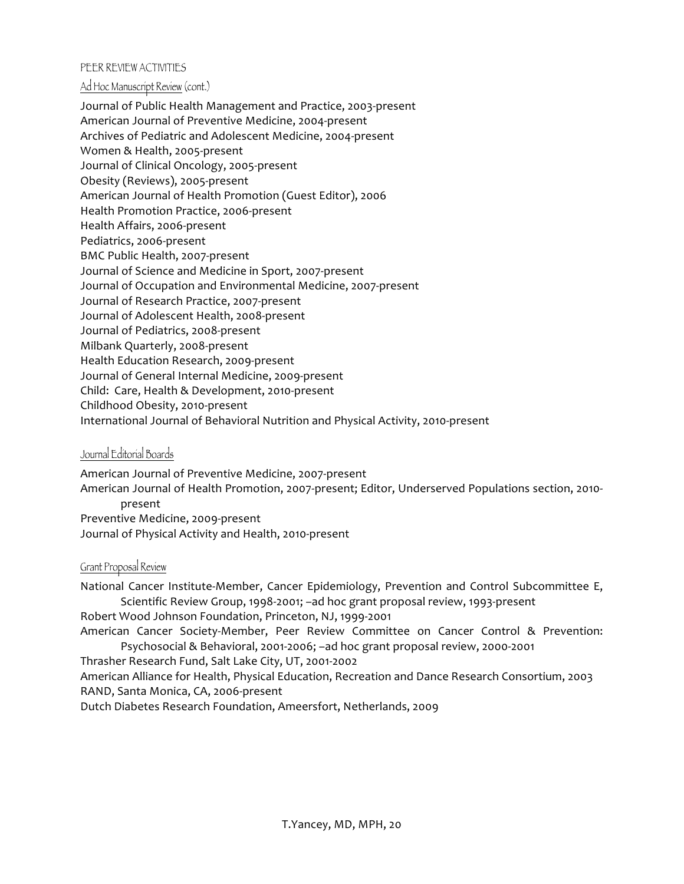### PEER REVIEW ACTIVITIES

#### Ad Hoc Manuscript Review (cont.)

Journal of Public Health Management and Practice, 2003-present American Journal of Preventive Medicine, 2004-present Archives of Pediatric and Adolescent Medicine, 2004-present Women & Health, 2005-present Journal of Clinical Oncology, 2005-present Obesity (Reviews), 2005-present American Journal of Health Promotion (Guest Editor), 2006 Health Promotion Practice, 2006-present Health Affairs, 2006-present Pediatrics, 2006-present BMC Public Health, 2007-present Journal of Science and Medicine in Sport, 2007-present Journal of Occupation and Environmental Medicine, 2007-present Journal of Research Practice, 2007-present Journal of Adolescent Health, 2008-present Journal of Pediatrics, 2008-present Milbank Quarterly, 2008-present Health Education Research, 2009-present Journal of General Internal Medicine, 2009-present Child: Care, Health & Development, 2010-present Childhood Obesity, 2010-present International Journal of Behavioral Nutrition and Physical Activity, 2010-present

## Journal Editorial Boards

American Journal of Preventive Medicine, 2007-present American Journal of Health Promotion, 2007-present; Editor, Underserved Populations section, 2010present Preventive Medicine, 2009-present Journal of Physical Activity and Health, 2010-present

#### Grant Proposal Review

National Cancer Institute-Member, Cancer Epidemiology, Prevention and Control Subcommittee E, Scientific Review Group, 1998-2001; -ad hoc grant proposal review, 1993-present Robert Wood Johnson Foundation, Princeton, NJ, 1999-2001 American Cancer Society-Member, Peer Review Committee on Cancer Control & Prevention: Psychosocial & Behavioral, 2001-2006; -ad hoc grant proposal review, 2000-2001 Thrasher Research Fund, Salt Lake City, UT, 2001-2002 American Alliance for Health, Physical Education, Recreation and Dance Research Consortium, 2003 RAND, Santa Monica, CA, 2006-present Dutch Diabetes Research Foundation, Ameersfort, Netherlands, 2009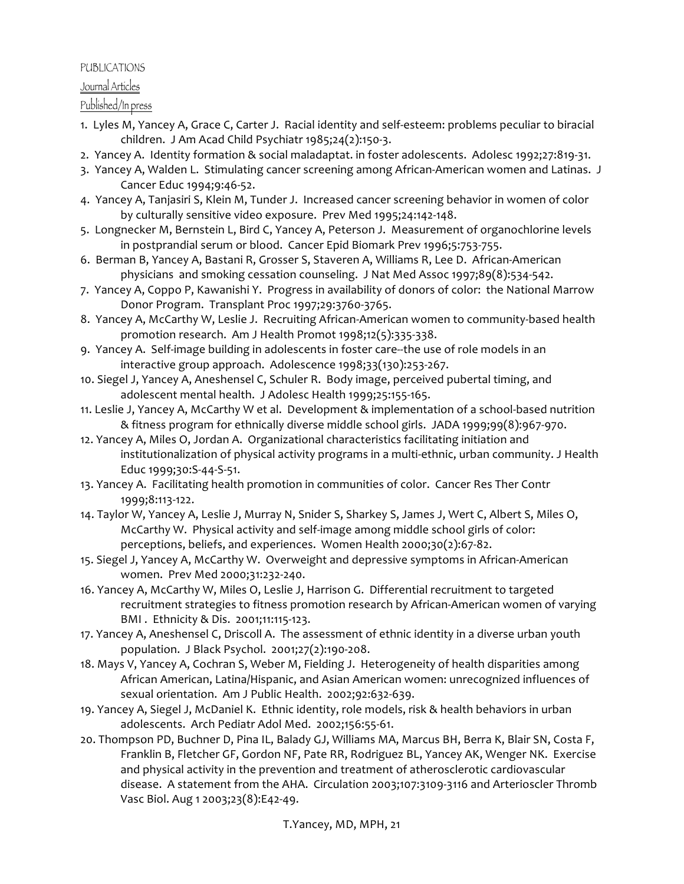### PUBLICATIONS

## Journal Articles

Published/In press

- 1. Lyles M, Yancey A, Grace C, Carter J. Racial identity and self-esteem: problems peculiar to biracial children. J Am Acad Child Psychiatr 1985;24(2):150-3.
- 2. Yancey A. Identity formation & social maladaptat. in foster adolescents. Adolesc 1992;27:819-31.
- 3. Yancey A, Walden L. Stimulating cancer screening among African-American women and Latinas. J Cancer Educ 1994;9:46-52.
- 4. Yancey A, Tanjasiri S, Klein M, Tunder J. Increased cancer screening behavior in women of color by culturally sensitive video exposure. Prev Med 1995;24:142-148.
- 5. Longnecker M, Bernstein L, Bird C, Yancey A, Peterson J. Measurement of organochlorine levels in postprandial serum or blood. Cancer Epid Biomark Prev 1996;5:753-755.
- 6. Berman B, Yancey A, Bastani R, Grosser S, Staveren A, Williams R, Lee D. African-American physicians and smoking cessation counseling. J Nat Med Assoc 1997;89(8):534-542.
- 7. Yancey A, Coppo P, Kawanishi Y. Progress in availability of donors of color: the National Marrow Donor Program. Transplant Proc 1997;29:3760-3765.
- 8. Yancey A, McCarthy W, Leslie J. Recruiting African-American women to community-based health promotion research. Am J Health Promot 1998;12(5):335-338.
- 9. Yancey A. Self-image building in adolescents in foster care--the use of role models in an interactive group approach. Adolescence 1998;33(130):253-267.
- 10. Siegel J, Yancey A, Aneshensel C, Schuler R. Body image, perceived pubertal timing, and adolescent mental health. J Adolesc Health 1999;25:155-165.
- 11. Leslie J, Yancey A, McCarthy W et al. Development & implementation of a school-based nutrition & fitness program for ethnically diverse middle school girls. JADA 1999;99(8):967-970.
- 12. Yancey A, Miles O, Jordan A. Organizational characteristics facilitating initiation and institutionalization of physical activity programs in a multi-ethnic, urban community. J Health Educ 1999;30:S-44-S-51.
- 13. Yancey A. Facilitating health promotion in communities of color. Cancer Res Ther Contr 1999;8:113-122.
- 14. Taylor W, Yancey A, Leslie J, Murray N, Snider S, Sharkey S, James J, Wert C, Albert S, Miles O, McCarthy W. Physical activity and self-image among middle school girls of color: perceptions, beliefs, and experiences. Women Health 2000;30(2):67-82.
- 15. Siegel J, Yancey A, McCarthy W. Overweight and depressive symptoms in African-American women. Prev Med 2000;31:232-240.
- 16. Yancey A, McCarthy W, Miles O, Leslie J, Harrison G. Differential recruitment to targeted recruitment strategies to fitness promotion research by African-American women of varying BMI. Ethnicity & Dis. 2001;11:115-123.
- 17. Yancey A, Aneshensel C, Driscoll A. The assessment of ethnic identity in a diverse urban youth population. J Black Psychol. 2001;27(2):190-208.
- 18. Mays V, Yancey A, Cochran S, Weber M, Fielding J. Heterogeneity of health disparities among African American, Latina/Hispanic, and Asian American women: unrecognized influences of sexual orientation. Am J Public Health. 2002;92:632-639.
- 19. Yancey A, Siegel J, McDaniel K. Ethnic identity, role models, risk & health behaviors in urban adolescents. Arch Pediatr Adol Med. 2002;156:55-61.
- 20. Thompson PD, Buchner D, Pina IL, Balady GJ, Williams MA, Marcus BH, Berra K, Blair SN, Costa F, Franklin B, Fletcher GF, Gordon NF, Pate RR, Rodriguez BL, Yancey AK, Wenger NK. Exercise and physical activity in the prevention and treatment of atherosclerotic cardiovascular disease. A statement from the AHA. Circulation 2003;107:3109-3116 and Arterioscler Thromb Vasc Biol. Aug 1 2003;23(8):E42-49.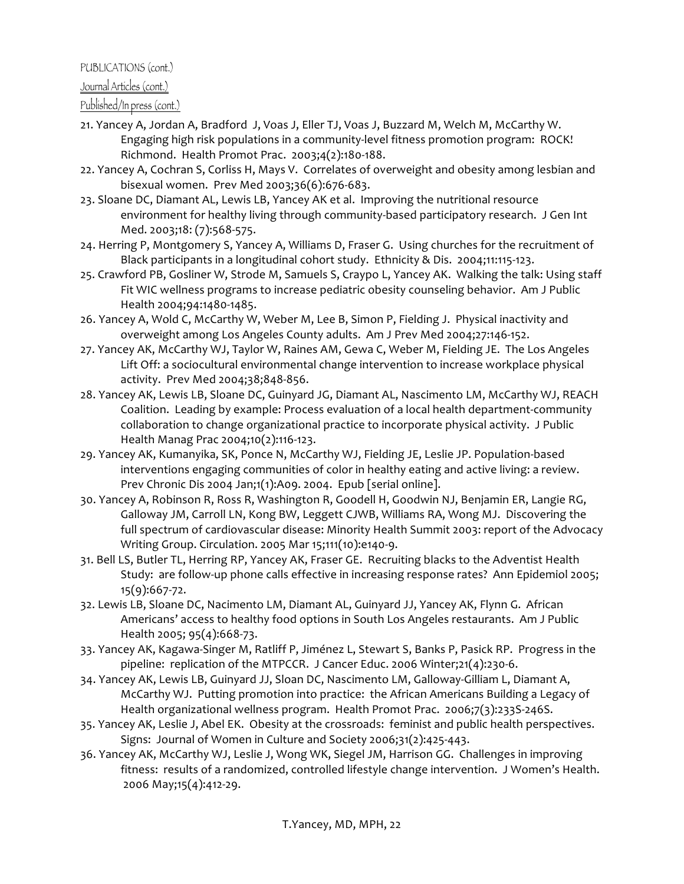## Journal Articles (cont.)

## Published/In press (cont.)

- 21. Yancey A, Jordan A, Bradford J, Voas J, Eller TJ, Voas J, Buzzard M, Welch M, McCarthy W. Engaging high risk populations in a community-level fitness promotion program: ROCK! Richmond. Health Promot Prac. 2003;4(2):180-188.
- 22. Yancey A, Cochran S, Corliss H, Mays V. Correlates of overweight and obesity among lesbian and bisexual women. Prev Med 2003;36(6):676-683.
- 23. Sloane DC, Diamant AL, Lewis LB, Yancey AK et al. Improving the nutritional resource environment for healthy living through community-based participatory research. J Gen Int Med. 2003;18: (7):568-575.
- 24. Herring P, Montgomery S, Yancey A, Williams D, Fraser G. Using churches for the recruitment of Black participants in a longitudinal cohort study. Ethnicity & Dis. 2004;11:115-123.
- 25. Crawford PB, Gosliner W, Strode M, Samuels S, Craypo L, Yancey AK. Walking the talk: Using staff Fit WIC wellness programs to increase pediatric obesity counseling behavior. Am J Public Health 2004;94:1480-1485.
- 26. Yancey A, Wold C, McCarthy W, Weber M, Lee B, Simon P, Fielding J. Physical inactivity and overweight among Los Angeles County adults. Am J Prev Med 2004;27:146-152.
- 27. Yancey AK, McCarthy WJ, Taylor W, Raines AM, Gewa C, Weber M, Fielding JE. The Los Angeles Lift Off: a sociocultural environmental change intervention to increase workplace physical activity. Prev Med 2004;38;848-856.
- 28. Yancey AK, Lewis LB, Sloane DC, Guinyard JG, Diamant AL, Nascimento LM, McCarthy WJ, REACH Coalition. Leading by example: Process evaluation of a local health department-community collaboration to change organizational practice to incorporate physical activity. J Public Health Manag Prac 2004;10(2):116-123.
- 29. Yancey AK, Kumanyika, SK, Ponce N, McCarthy WJ, Fielding JE, Leslie JP. Population-based interventions engaging communities of color in healthy eating and active living: a review. Prev Chronic Dis 2004 Jan;1(1):A09. 2004. Epub [serial online].
- 30. Yancey A, Robinson R, Ross R, Washington R, Goodell H, Goodwin NJ, Benjamin ER, Langie RG, Galloway JM, Carroll LN, Kong BW, Leggett CJWB, Williams RA, Wong MJ. Discovering the full spectrum of cardiovascular disease: Minority Health Summit 2003: report of the Advocacy Writing Group. Circulation. 2005 Mar 15;111(10):e140-9.
- 31. Bell LS, Butler TL, Herring RP, Yancey AK, Fraser GE. Recruiting blacks to the Adventist Health Study: are follow-up phone calls effective in increasing response rates? Ann Epidemiol 2005; 15(9):667-72.
- 32. Lewis LB, Sloane DC, Nacimento LM, Diamant AL, Guinyard JJ, Yancey AK, Flynn G. African Americans' access to healthy food options in South Los Angeles restaurants. Am J Public Health 2005; 95(4):668-73.
- 33. Yancey AK, Kagawa-Singer M, Ratliff P, Jiménez L, Stewart S, Banks P, Pasick RP. Progress in the pipeline: replication of the MTPCCR. J Cancer Educ. 2006 Winter;21(4):230-6.
- 34. Yancey AK, Lewis LB, Guinyard JJ, Sloan DC, Nascimento LM, Galloway-Gilliam L, Diamant A, McCarthy WJ. Putting promotion into practice: the African Americans Building a Legacy of Health organizational wellness program. Health Promot Prac. 2006;7(3):233S-246S.
- 35. Yancey AK, Leslie J, Abel EK. Obesity at the crossroads: feminist and public health perspectives. Signs: Journal of Women in Culture and Society 2006;31(2):425-443.
- 36. Yancey AK, McCarthy WJ, Leslie J, Wong WK, Siegel JM, Harrison GG. Challenges in improving fitness: results of a randomized, controlled lifestyle change intervention. J Women's Health. 2006 May;15(4):412-29.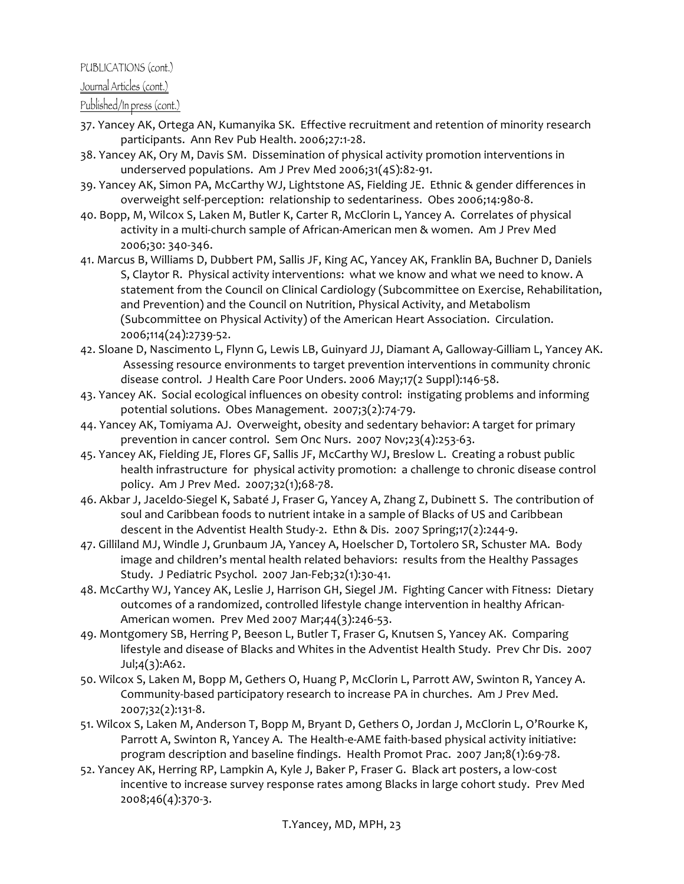## Journal Articles (cont.)

## Published/In press (cont.)

- 37. Yancey AK, Ortega AN, Kumanyika SK. Effective recruitment and retention of minority research participants. Ann Rev Pub Health. 2006;27:1-28.
- 38. Yancey AK, Ory M, Davis SM. Dissemination of physical activity promotion interventions in underserved populations. Am J Prev Med 2006;31(4S):82-91.
- 39. Yancey AK, Simon PA, McCarthy WJ, Lightstone AS, Fielding JE. Ethnic & gender differences in overweight self-perception: relationship to sedentariness. Obes 2006;14:980-8.
- 40. Bopp, M, Wilcox S, Laken M, Butler K, Carter R, McClorin L, Yancey A. Correlates of physical activity in a multi-church sample of African-American men & women. Am J Prev Med 2006;30: 340-346.
- 41. Marcus B, Williams D, Dubbert PM, Sallis JF, King AC, Yancey AK, Franklin BA, Buchner D, Daniels S, Claytor R. Physical activity interventions: what we know and what we need to know. A statement from the Council on Clinical Cardiology (Subcommittee on Exercise, Rehabilitation, and Prevention) and the Council on Nutrition, Physical Activity, and Metabolism (Subcommittee on Physical Activity) of the American Heart Association. Circulation. 2006;114(24):2739-52.
- 42. Sloane D, Nascimento L, Flynn G, Lewis LB, Guinyard JJ, Diamant A, Galloway-Gilliam L, Yancey AK. Assessing resource environments to target prevention interventions in community chronic disease control. J Health Care Poor Unders. 2006 May;17(2 Suppl):146-58.
- 43. Yancey AK. Social ecological influences on obesity control: instigating problems and informing potential solutions. Obes Management. 2007;3(2):74-79.
- 44. Yancey AK, Tomiyama AJ. Overweight, obesity and sedentary behavior: A target for primary prevention in cancer control. Sem Onc Nurs. 2007 Nov;23(4):253-63.
- 45. Yancey AK, Fielding JE, Flores GF, Sallis JF, McCarthy WJ, Breslow L. Creating a robust public health infrastructure for physical activity promotion: a challenge to chronic disease control policy. Am J Prev Med. 2007;32(1);68-78.
- 46. Akbar J, Jaceldo-Siegel K, Sabaté J, Fraser G, Yancey A, Zhang Z, Dubinett S. The contribution of soul and Caribbean foods to nutrient intake in a sample of Blacks of US and Caribbean descent in the Adventist Health Study-2. Ethn & Dis. 2007 Spring;17(2):244-9.
- 47. Gilliland MJ, Windle J, Grunbaum JA, Yancey A, Hoelscher D, Tortolero SR, Schuster MA. Body image and children's mental health related behaviors: results from the Healthy Passages Study. J Pediatric Psychol. 2007 Jan-Feb;32(1):30-41.
- 48. McCarthy WJ, Yancey AK, Leslie J, Harrison GH, Siegel JM. Fighting Cancer with Fitness: Dietary outcomes of a randomized, controlled lifestyle change intervention in healthy African-American women. Prev Med 2007 Mar;44(3):246-53.
- 49. Montgomery SB, Herring P, Beeson L, Butler T, Fraser G, Knutsen S, Yancey AK. Comparing lifestyle and disease of Blacks and Whites in the Adventist Health Study. Prev Chr Dis. 2007 Jul;4(3):A62.
- 50. Wilcox S, Laken M, Bopp M, Gethers O, Huang P, McClorin L, Parrott AW, Swinton R, Yancey A. Community-based participatory research to increase PA in churches. Am J Prev Med. 2007;32(2):131-8.
- 51. Wilcox S, Laken M, Anderson T, Bopp M, Bryant D, Gethers O, Jordan J, McClorin L, O'Rourke K, Parrott A, Swinton R, Yancey A. The Health-e-AME faith-based physical activity initiative: program description and baseline findings. Health Promot Prac. 2007 Jan;8(1):69-78.
- 52. Yancey AK, Herring RP, Lampkin A, Kyle J, Baker P, Fraser G. Black art posters, a low-cost incentive to increase survey response rates among Blacks in large cohort study. Prev Med 2008;46(4):370-3.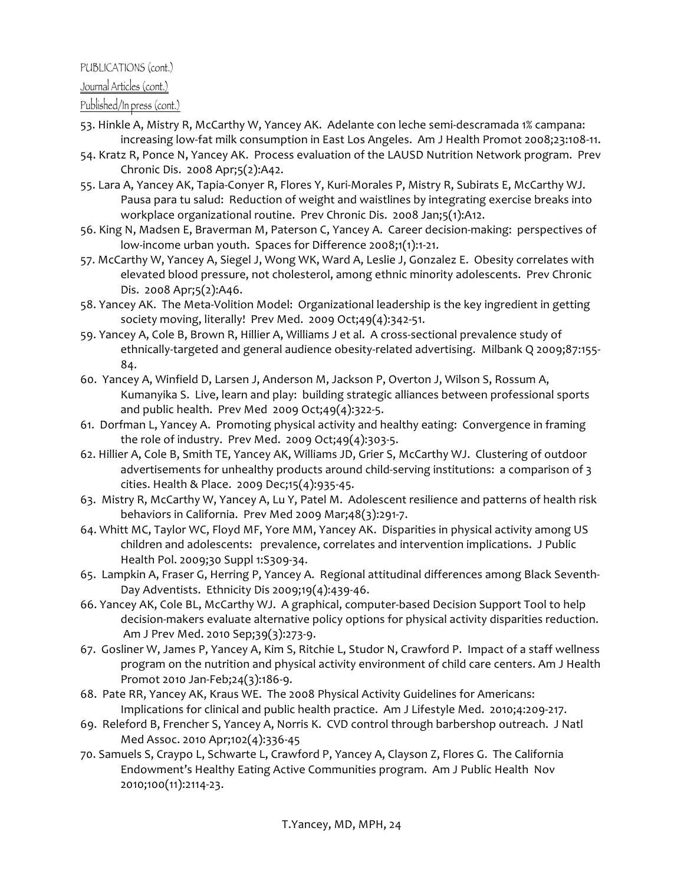## Journal Articles (cont.)

## Published/In press (cont.)

- 53. Hinkle A, Mistry R, McCarthy W, Yancey AK. Adelante con leche semi-descramada 1% campana: increasing low-fat milk consumption in East Los Angeles. Am J Health Promot 2008;23:108-11.
- 54. Kratz R, Ponce N, Yancey AK. Process evaluation of the LAUSD Nutrition Network program. Prev Chronic Dis. 2008 Apr;5(2):A42.
- 55. Lara A, Yancey AK, Tapia-Conyer R, Flores Y, Kuri-Morales P, Mistry R, Subirats E, McCarthy WJ. Pausa para tu salud: Reduction of weight and waistlines by integrating exercise breaks into workplace organizational routine. Prev Chronic Dis. 2008 Jan;5(1):A12.
- 56. King N, Madsen E, Braverman M, Paterson C, Yancey A. Career decision-making: perspectives of low-income urban youth. Spaces for Difference 2008;1(1):1-21.
- 57. McCarthy W, Yancey A, Siegel J, Wong WK, Ward A, Leslie J, Gonzalez E. Obesity correlates with elevated blood pressure, not cholesterol, among ethnic minority adolescents. Prev Chronic Dis. 2008 Apr;5(2):A46.
- 58. Yancey AK. The Meta-Volition Model: Organizational leadership is the key ingredient in getting society moving, literally! Prev Med. 2009 Oct;49(4):342-51.
- 59. Yancey A, Cole B, Brown R, Hillier A, Williams J et al. A cross-sectional prevalence study of ethnically-targeted and general audience obesity-related advertising. Milbank Q 2009;87:155-84.
- 60. Yancey A, Winfield D, Larsen J, Anderson M, Jackson P, Overton J, Wilson S, Rossum A, Kumanyika S. Live, learn and play: building strategic alliances between professional sports and public health. Prev Med  $2009$  Oct;49(4):322-5.
- 61. Dorfman L, Yancey A. Promoting physical activity and healthy eating: Convergence in framing the role of industry. Prev Med. 2009 Oct;49(4):303-5.
- 62. Hillier A, Cole B, Smith TE, Yancey AK, Williams JD, Grier S, McCarthy WJ. Clustering of outdoor advertisements for unhealthy products around child-serving institutions: a comparison of 3 cities. Health & Place. 2009 Dec;15(4):935-45.
- 63. Mistry R, McCarthy W, Yancey A, Lu Y, Patel M. Adolescent resilience and patterns of health risk behaviors in California. Prev Med 2009 Mar;48(3):291-7.
- 64. Whitt MC, Taylor WC, Floyd MF, Yore MM, Yancey AK. Disparities in physical activity among US children and adolescents: prevalence, correlates and intervention implications. J Public Health Pol. 2009;30 Suppl 1:S309-34.
- 65. Lampkin A, Fraser G, Herring P, Yancey A. Regional attitudinal differences among Black Seventh-Day Adventists. Ethnicity Dis 2009;19(4):439-46.
- 66. Yancey AK, Cole BL, McCarthy WJ. A graphical, computer-based Decision Support Tool to help decision-makers evaluate alternative policy options for physical activity disparities reduction. Am J Prev Med. 2010 Sep;39(3):273-9.
- 67. Gosliner W, James P, Yancey A, Kim S, Ritchie L, Studor N, Crawford P. Impact of a staff wellness program on the nutrition and physical activity environment of child care centers. Am J Health Promot 2010 Jan-Feb;24(3):186-9.
- 68. Pate RR, Yancey AK, Kraus WE. The 2008 Physical Activity Guidelines for Americans: Implications for clinical and public health practice. Am J Lifestyle Med. 2010;4:209-217.
- 69. Releford B, Frencher S, Yancey A, Norris K. CVD control through barbershop outreach. J Natl Med Assoc. 2010 Apr;102(4):336-45
- 70. Samuels S, Craypo L, Schwarte L, Crawford P, Yancey A, Clayson Z, Flores G. The California Endowment's Healthy Eating Active Communities program. Am J Public Health Nov 2010;100(11):2114-23.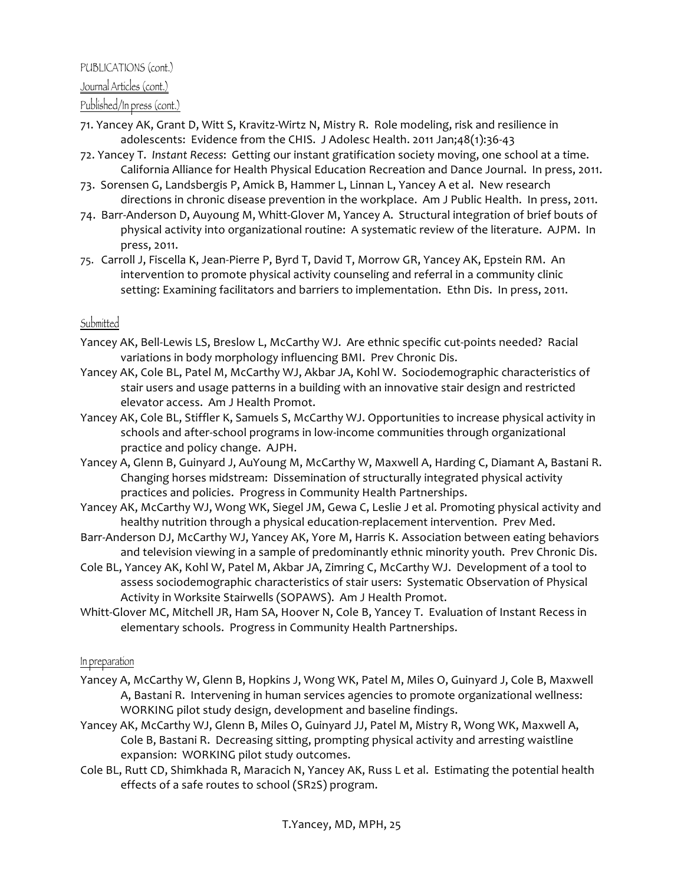## PUBLICATIONS (cont.) Journal Articles (cont.)

## Published/In press (cont.)

- 71. Yancey AK, Grant D, Witt S, Kravitz-Wirtz N, Mistry R. Role modeling, risk and resilience in adolescents: Evidence from the CHIS. J Adolesc Health. 2011 Jan;48(1):36-43
- 72. Yancey T. Instant Recess: Getting our instant gratification society moving, one school at a time. California Alliance for Health Physical Education Recreation and Dance Journal. In press, 2011.
- 73. Sorensen G, Landsbergis P, Amick B, Hammer L, Linnan L, Yancey A et al. New research directions in chronic disease prevention in the workplace. Am J Public Health. In press, 2011.
- 74. Barr-Anderson D, Auyoung M, Whitt-Glover M, Yancey A. Structural integration of brief bouts of physical activity into organizational routine: A systematic review of the literature. AJPM. In press, 2011.
- 75. Carroll J, Fiscella K, Jean-Pierre P, Byrd T, David T, Morrow GR, Yancey AK, Epstein RM. An intervention to promote physical activity counseling and referral in a community clinic setting: Examining facilitators and barriers to implementation. Ethn Dis. In press, 2011.

## **Submitted**

- Yancey AK, Bell-Lewis LS, Breslow L, McCarthy WJ. Are ethnic specific cut-points needed? Racial variations in body morphology influencing BMI. Prev Chronic Dis.
- Yancey AK, Cole BL, Patel M, McCarthy WJ, Akbar JA, Kohl W. Sociodemographic characteristics of stair users and usage patterns in a building with an innovative stair design and restricted elevator access. Am J Health Promot.
- Yancey AK, Cole BL, Stiffler K, Samuels S, McCarthy WJ. Opportunities to increase physical activity in schools and after-school programs in low-income communities through organizational practice and policy change. AJPH.
- Yancey A, Glenn B, Guinyard J, AuYoung M, McCarthy W, Maxwell A, Harding C, Diamant A, Bastani R. Changing horses midstream: Dissemination of structurally integrated physical activity practices and policies. Progress in Community Health Partnerships.
- Yancey AK, McCarthy WJ, Wong WK, Siegel JM, Gewa C, Leslie J et al. Promoting physical activity and healthy nutrition through a physical education-replacement intervention. Prev Med.
- Barr-Anderson DJ, McCarthy WJ, Yancey AK, Yore M, Harris K. Association between eating behaviors and television viewing in a sample of predominantly ethnic minority youth. Prev Chronic Dis.
- Cole BL, Yancey AK, Kohl W, Patel M, Akbar JA, Zimring C, McCarthy WJ. Development of a tool to assess sociodemographic characteristics of stair users: Systematic Observation of Physical Activity in Worksite Stairwells (SOPAWS). Am J Health Promot.
- Whitt-Glover MC, Mitchell JR, Ham SA, Hoover N, Cole B, Yancey T. Evaluation of Instant Recess in elementary schools. Progress in Community Health Partnerships.

#### In preparation

- Yancey A, McCarthy W, Glenn B, Hopkins J, Wong WK, Patel M, Miles O, Guinyard J, Cole B, Maxwell A, Bastani R. Intervening in human services agencies to promote organizational wellness: WORKING pilot study design, development and baseline findings.
- Yancey AK, McCarthy WJ, Glenn B, Miles O, Guinyard JJ, Patel M, Mistry R, Wong WK, Maxwell A, Cole B, Bastani R. Decreasing sitting, prompting physical activity and arresting waistline expansion: WORKING pilot study outcomes.
- Cole BL, Rutt CD, Shimkhada R, Maracich N, Yancey AK, Russ L et al. Estimating the potential health effects of a safe routes to school (SR2S) program.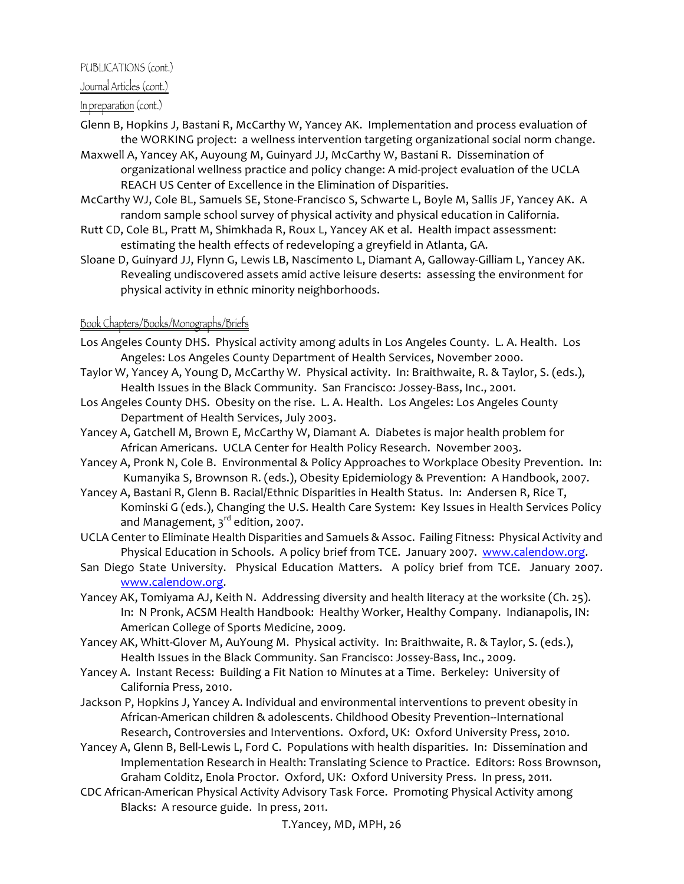## Journal Articles (cont.)

## In preparation (cont.)

- Glenn B, Hopkins J, Bastani R, McCarthy W, Yancey AK. Implementation and process evaluation of the WORKING project: a wellness intervention targeting organizational social norm change.
- Maxwell A, Yancey AK, Auyoung M, Guinyard JJ, McCarthy W, Bastani R. Dissemination of organizational wellness practice and policy change: A mid-project evaluation of the UCLA REACH US Center of Excellence in the Elimination of Disparities.
- McCarthy WJ, Cole BL, Samuels SE, Stone-Francisco S, Schwarte L, Boyle M, Sallis JF, Yancey AK. A random sample school survey of physical activity and physical education in California.
- Rutt CD, Cole BL, Pratt M, Shimkhada R, Roux L, Yancey AK et al. Health impact assessment: estimating the health effects of redeveloping a greyfield in Atlanta, GA.
- Sloane D, Guinyard JJ, Flynn G, Lewis LB, Nascimento L, Diamant A, Galloway-Gilliam L, Yancey AK. Revealing undiscovered assets amid active leisure deserts: assessing the environment for physical activity in ethnic minority neighborhoods.

## Book Chapters/Books/Monographs/Briefs

- Los Angeles County DHS. Physical activity among adults in Los Angeles County. L. A. Health. Los Angeles: Los Angeles County Department of Health Services, November 2000.
- Taylor W, Yancey A, Young D, McCarthy W. Physical activity. In: Braithwaite, R. & Taylor, S. (eds.), Health Issues in the Black Community. San Francisco: Jossey-Bass, Inc., 2001.
- Los Angeles County DHS. Obesity on the rise. L. A. Health. Los Angeles: Los Angeles County Department of Health Services, July 2003.
- Yancey A, Gatchell M, Brown E, McCarthy W, Diamant A. Diabetes is major health problem for African Americans. UCLA Center for Health Policy Research. November 2003.
- Yancey A, Pronk N, Cole B. Environmental & Policy Approaches to Workplace Obesity Prevention. In: Kumanyika S, Brownson R. (eds.), Obesity Epidemiology & Prevention: A Handbook, 2007.
- Yancey A, Bastani R, Glenn B. Racial/Ethnic Disparities in Health Status. In: Andersen R, Rice T, Kominski G (eds.), Changing the U.S. Health Care System: Key Issues in Health Services Policy and Management,  $3^{\text{rd}}$  edition, 2007.
- UCLA Center to Eliminate Health Disparities and Samuels & Assoc. Failing Fitness: Physical Activity and Physical Education in Schools. A policy brief from TCE. January 2007. www.calendow.org.
- San Diego State University. Physical Education Matters. A policy brief from TCE. January 2007. www.calendow.org.\*
- Yancey AK, Tomiyama AJ, Keith N. Addressing diversity and health literacy at the worksite (Ch. 25). In: N Pronk, ACSM Health Handbook: Healthy Worker, Healthy Company. Indianapolis, IN: American College of Sports Medicine, 2009.
- Yancey AK, Whitt-Glover M, AuYoung M. Physical activity. In: Braithwaite, R. & Taylor, S. (eds.), Health Issues in the Black Community. San Francisco: Jossey-Bass, Inc., 2009.
- Yancey A. Instant Recess: Building a Fit Nation 10 Minutes at a Time. Berkeley: University of California Press, 2010.
- Jackson P, Hopkins J, Yancey A. Individual and environmental interventions to prevent obesity in African-American children & adolescents. Childhood Obesity Prevention--International Research, Controversies and Interventions. Oxford, UK: Oxford University Press, 2010.
- Yancey A, Glenn B, Bell-Lewis L, Ford C. Populations with health disparities. In: Dissemination and Implementation Research in Health: Translating Science to Practice. Editors: Ross Brownson, Graham Colditz, Enola Proctor. Oxford, UK: Oxford University Press. In press, 2011.
- CDC African-American Physical Activity Advisory Task Force. Promoting Physical Activity among Blacks: A resource guide. In press, 2011.

T.Yancey, MD, MPH, 26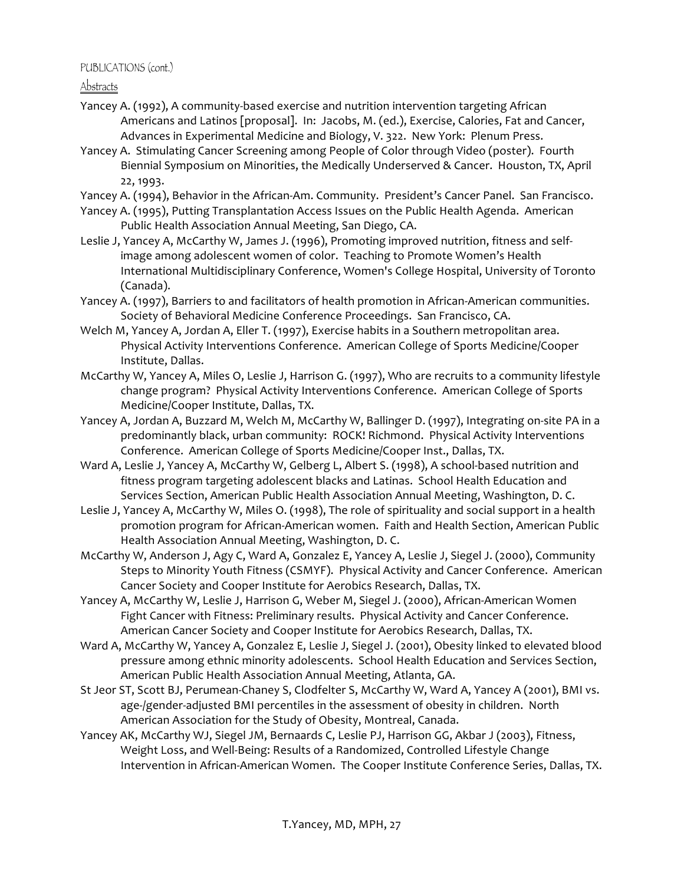Abstracts

- Yancey A. (1992), A community-based exercise and nutrition intervention targeting African Americans and Latinos [proposal]. In: Jacobs, M. (ed.), Exercise, Calories, Fat and Cancer, Advances in Experimental Medicine and Biology, V. 322. New York: Plenum Press.
- Yancey A. Stimulating Cancer Screening among People of Color through Video (poster). Fourth Biennial Symposium on Minorities, the Medically Underserved & Cancer. Houston, TX, April 22, 1993.
- Yancey A. (1994), Behavior in the African-Am. Community. President's Cancer Panel. San Francisco.
- Yancey A. (1995), Putting Transplantation Access Issues on the Public Health Agenda. American Public Health Association Annual Meeting, San Diego, CA.
- Leslie J, Yancey A, McCarthy W, James J. (1996), Promoting improved nutrition, fitness and selfimage among adolescent women of color. Teaching to Promote Women's Health International Multidisciplinary Conference, Women's College Hospital, University of Toronto (Canada).
- Yancey A. (1997), Barriers to and facilitators of health promotion in African-American communities. Society of Behavioral Medicine Conference Proceedings. San Francisco, CA.
- Welch M, Yancey A, Jordan A, Eller T. (1997), Exercise habits in a Southern metropolitan area. Physical Activity Interventions Conference. American College of Sports Medicine/Cooper Institute, Dallas.
- McCarthy W, Yancey A, Miles O, Leslie J, Harrison G. (1997), Who are recruits to a community lifestyle change program? Physical Activity Interventions Conference. American College of Sports Medicine/Cooper Institute, Dallas, TX.
- Yancey A, Jordan A, Buzzard M, Welch M, McCarthy W, Ballinger D. (1997), Integrating on-site PA in a predominantly black, urban community: ROCK! Richmond. Physical Activity Interventions Conference. American College of Sports Medicine/Cooper Inst., Dallas, TX.
- Ward A, Leslie J, Yancey A, McCarthy W, Gelberg L, Albert S. (1998), A school-based nutrition and fitness program targeting adolescent blacks and Latinas. School Health Education and Services Section, American Public Health Association Annual Meeting, Washington, D.C.
- Leslie J, Yancey A, McCarthy W, Miles O. (1998), The role of spirituality and social support in a health promotion program for African-American women. Faith and Health Section, American Public Health Association Annual Meeting, Washington, D.C.
- McCarthy W, Anderson J, Agy C, Ward A, Gonzalez E, Yancey A, Leslie J, Siegel J. (2000), Community Steps to Minority Youth Fitness (CSMYF). Physical Activity and Cancer Conference. American Cancer Society and Cooper Institute for Aerobics Research, Dallas, TX.
- Yancey A, McCarthy W, Leslie J, Harrison G, Weber M, Siegel J. (2000), African-American Women Fight Cancer with Fitness: Preliminary results. Physical Activity and Cancer Conference. American Cancer Society and Cooper Institute for Aerobics Research, Dallas, TX.
- Ward A, McCarthy W, Yancey A, Gonzalez E, Leslie J, Siegel J. (2001), Obesity linked to elevated blood pressure among ethnic minority adolescents. School Health Education and Services Section, American Public Health Association Annual Meeting, Atlanta, GA.
- St Jeor ST, Scott BJ, Perumean-Chaney S, Clodfelter S, McCarthy W, Ward A, Yancey A (2001), BMI vs. age-/gender-adjusted BMI percentiles in the assessment of obesity in children. North American Association for the Study of Obesity, Montreal, Canada.
- Yancey AK, McCarthy WJ, Siegel JM, Bernaards C, Leslie PJ, Harrison GG, Akbar J (2003), Fitness, Weight Loss, and Well-Being: Results of a Randomized, Controlled Lifestyle Change Intervention in African-American Women. The Cooper Institute Conference Series, Dallas, TX.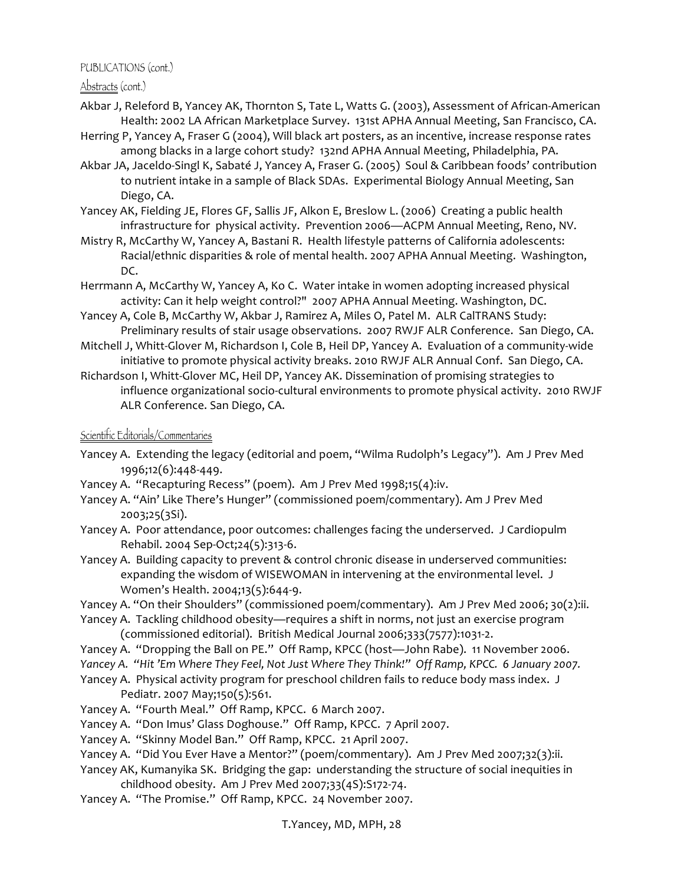Abstracts (cont.)

- Akbar J, Releford B, Yancey AK, Thornton S, Tate L, Watts G. (2003), Assessment of African-American Health: 2002 LA African Marketplace Survey. 131st APHA Annual Meeting, San Francisco, CA.
- Herring P, Yancey A, Fraser G (2004), Will black art posters, as an incentive, increase response rates among blacks in a large cohort study? 132nd APHA Annual Meeting, Philadelphia, PA.
- Akbar JA, Jaceldo-Singl K, Sabaté J, Yancey A, Fraser G. (2005) Soul & Caribbean foods' contribution to nutrient intake in a sample of Black SDAs. Experimental Biology Annual Meeting, San Diego, CA.
- Yancey AK, Fielding JE, Flores GF, Sallis JF, Alkon E, Breslow L. (2006) Creating a public health infrastructure for physical activity. Prevention 2006—ACPM Annual Meeting, Reno, NV.
- Mistry R, McCarthy W, Yancey A, Bastani R. Health lifestyle patterns of California adolescents: Racial/ethnic disparities & role of mental health. 2007 APHA Annual Meeting. Washington, DC.
- Herrmann A, McCarthy W, Yancey A, Ko C. Water intake in women adopting increased physical activity: Can it help weight control?" 2007 APHA Annual Meeting. Washington, DC.
- Yancey A, Cole B, McCarthy W, Akbar J, Ramirez A, Miles O, Patel M. ALR CalTRANS Study: Preliminary results of stair usage observations. 2007 RWJF ALR Conference. San Diego, CA.
- Mitchell J, Whitt-Glover M, Richardson I, Cole B, Heil DP, Yancey A. Evaluation of a community-wide initiative to promote physical activity breaks. 2010 RWJF ALR Annual Conf. San Diego, CA.
- Richardson I, Whitt-Glover MC, Heil DP, Yancey AK. Dissemination of promising strategies to influence organizational socio-cultural environments to promote physical activity. 2010 RWJF ALR Conference. San Diego, CA.

## Scientific Editorials/Commentaries

- Yancey A. Extending the legacy (editorial and poem, "Wilma Rudolph's Legacy"). Am J Prev Med 1996;12(6):448-449.
- Yancey A. "Recapturing Recess" (poem). Am J Prev Med 1998;15(4):iv.
- Yancey A. "Ain' Like There's Hunger" (commissioned poem/commentary). Am J Prev Med 2003;25(3Si).
- Yancey A. Poor attendance, poor outcomes: challenges facing the underserved. J Cardiopulm Rehabil. 2004 Sep-Oct;24(5):313-6.
- Yancey A. Building capacity to prevent & control chronic disease in underserved communities: expanding the wisdom of WISEWOMAN in intervening at the environmental level. J Women's Health. 2004;13(5):644-9.
- Yancey A. "On their Shoulders" (commissioned poem/commentary). Am J Prev Med 2006; 30(2):ii.
- Yancey A. Tackling childhood obesity—requires a shift in norms, not just an exercise program (commissioned editorial). British Medical Journal 2006;333(7577):1031-2.
- Yancey A. "Dropping the Ball on PE." Off Ramp, KPCC (host—John Rabe). 11 November 2006.
- Yancey A. "Hit 'Em Where They Feel, Not Just Where They Think!" Off Ramp, KPCC. 6 January 2007.
- Yancey A. Physical activity program for preschool children fails to reduce body mass index. J Pediatr. 2007 May;150(5):561.
- Yancey A. "Fourth Meal." Off Ramp, KPCC. 6 March 2007.
- Yancey A. "Don Imus' Glass Doghouse." Off Ramp, KPCC. 7 April 2007.
- Yancey A. "Skinny Model Ban." Off Ramp, KPCC. 21 April 2007.
- Yancey A. "Did You Ever Have a Mentor?" (poem/commentary). Am J Prev Med 2007;32(3):ii.
- Yancey AK, Kumanyika SK. Bridging the gap: understanding the structure of social inequities in childhood obesity. Am J Prev Med 2007;33(4S):S172-74.
- Yancey A. "The Promise." Off Ramp, KPCC. 24 November 2007.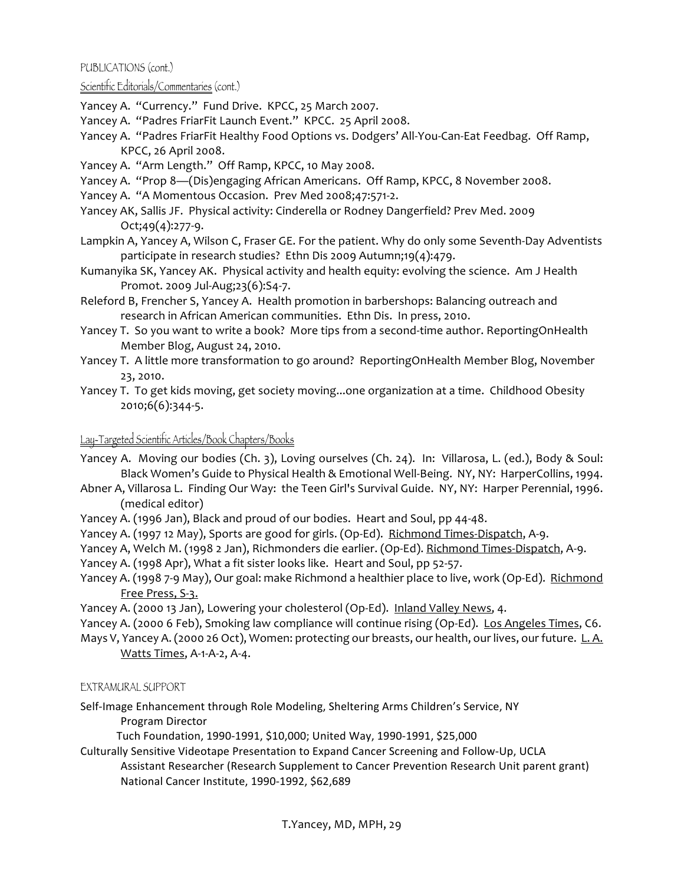### Scientific Editorials/Commentaries (cont.)

Yancey A. "Currency." Fund Drive. KPCC, 25 March 2007.

- Yancey A. "Padres FriarFit Launch Event." KPCC. 25 April 2008.
- Yancey A. "Padres FriarFit Healthy Food Options vs. Dodgers' All-You-Can-Eat Feedbag. Off Ramp, KPCC, 26 April 2008.
- Yancey A. "Arm Length." Off Ramp, KPCC, 10 May 2008.
- Yancey A. "Prop 8—(Dis)engaging African Americans. Off Ramp, KPCC, 8 November 2008.
- Yancey A. "A Momentous Occasion. Prev Med 2008;47:571-2.
- Yancey AK, Sallis JF. Physical activity: Cinderella or Rodney Dangerfield? Prev Med. 2009  $Oct:49(4):277-9.$
- Lampkin A, Yancey A, Wilson C, Fraser GE. For the patient. Why do only some Seventh-Day Adventists participate in research studies? Ethn Dis 2009 Autumn;19(4):479.
- Kumanyika SK, Yancey AK. Physical activity and health equity: evolving the science. Am J Health Promot. 2009 Jul-Aug;23(6):S4-7.
- Releford B, Frencher S, Yancey A. Health promotion in barbershops: Balancing outreach and research in African American communities. Ethn Dis. In press, 2010.
- Yancey T. So you want to write a book? More tips from a second-time author. ReportingOnHealth Member Blog, August 24, 2010.
- Yancey T. A little more transformation to go around? ReportingOnHealth Member Blog, November 23, 2010.
- Yancey T. To get kids moving, get society moving...one organization at a time. Childhood Obesity 2010;6(6):344-5.

# Lay-Targeted Scientific Articles/Book Chapters/Books

- Yancey A. Moving our bodies (Ch. 3), Loving ourselves (Ch. 24). In: Villarosa, L. (ed.), Body & Soul: Black Women's Guide to Physical Health & Emotional Well-Being. NY, NY: HarperCollins, 1994.
- Abner A, Villarosa L. Finding Our Way: the Teen Girl's Survival Guide. NY, NY: Harper Perennial, 1996. (medical editor)
- Yancey A. (1996 Jan), Black and proud of our bodies. Heart and Soul, pp 44-48.
- Yancey A. (1997 12 May), Sports are good for girls. (Op-Ed). Richmond Times-Dispatch, A-9.
- Yancey A, Welch M. (1998 2 Jan), Richmonders die earlier. (Op-Ed). Richmond Times-Dispatch, A-9.
- Yancey A. (1998 Apr), What a fit sister looks like. Heart and Soul, pp 52-57.
- Yancey A. (1998 7-9 May), Our goal: make Richmond a healthier place to live, work (Op-Ed). Richmond Free Press, S-3.
- Yancey A. (2000 13 Jan), Lowering your cholesterol (Op-Ed). Inland Valley News, 4.
- Yancey A. (2000 6 Feb), Smoking law compliance will continue rising (Op-Ed). Los Angeles Times, C6.
- Mays V, Yancey A. (2000 26 Oct), Women: protecting our breasts, our health, our lives, our future. L.A. Watts Times, A-1-A-2, A-4.

## EXTRAMURAL SUPPORT

- Self-Image Enhancement through Role Modeling, Sheltering Arms Children's Service, NY Program Director
	- Tuch Foundation, 1990-1991, \$10,000; United Way, 1990-1991, \$25,000
- Culturally Sensitive Videotape Presentation to Expand Cancer Screening and Follow-Up, UCLA Assistant Researcher (Research Supplement to Cancer Prevention Research Unit parent grant) National Cancer Institute, 1990-1992, \$62,689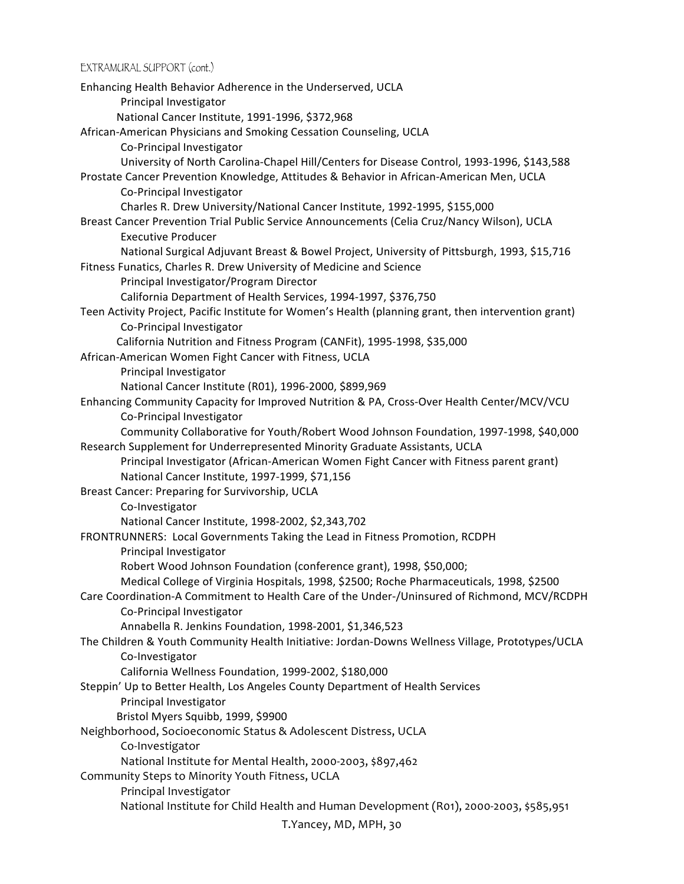EXTRAMURAL SUPPORT (cont.)

T.Yancey,\*MD,\*MPH,\*30 Enhancing Health Behavior Adherence in the Underserved, UCLA Principal Investigator National Cancer Institute, 1991-1996, \$372,968 African-American Physicians and Smoking Cessation Counseling, UCLA Co-Principal Investigator University of North Carolina-Chapel Hill/Centers for Disease Control, 1993-1996, \$143,588 Prostate Cancer Prevention Knowledge, Attitudes & Behavior in African-American Men, UCLA Co-Principal Investigator Charles R. Drew University/National Cancer Institute, 1992-1995, \$155,000 Breast Cancer Prevention Trial Public Service Announcements (Celia Cruz/Nancy Wilson), UCLA Executive Producer National Surgical Adjuvant Breast & Bowel Project, University of Pittsburgh, 1993, \$15,716 Fitness Funatics, Charles R. Drew University of Medicine and Science Principal Investigator/Program Director California Department of Health Services, 1994-1997, \$376,750 Teen Activity Project, Pacific Institute for Women's Health (planning grant, then intervention grant) Co-Principal Investigator California Nutrition and Fitness Program (CANFit), 1995-1998, \$35,000 African-American Women Fight Cancer with Fitness, UCLA Principal Investigator National Cancer Institute (R01), 1996-2000, \$899,969 Enhancing Community Capacity for Improved Nutrition & PA, Cross-Over Health Center/MCV/VCU Co-Principal Investigator Community Collaborative for Youth/Robert Wood Johnson Foundation, 1997-1998, \$40,000 Research Supplement for Underrepresented Minority Graduate Assistants, UCLA Principal Investigator (African-American Women Fight Cancer with Fitness parent grant) National Cancer Institute, 1997-1999, \$71,156 Breast Cancer: Preparing for Survivorship, UCLA Co-Investigator National Cancer Institute, 1998-2002, \$2,343,702 FRONTRUNNERS: Local Governments Taking the Lead in Fitness Promotion, RCDPH Principal Investigator Robert Wood Johnson Foundation (conference grant), 1998, \$50,000; Medical College of Virginia Hospitals, 1998, \$2500; Roche Pharmaceuticals, 1998, \$2500 Care Coordination-A Commitment to Health Care of the Under-/Uninsured of Richmond, MCV/RCDPH Co-Principal Investigator Annabella R. Jenkins Foundation, 1998-2001, \$1,346,523 The Children & Youth Community Health Initiative: Jordan-Downs Wellness Village, Prototypes/UCLA Co-Investigator California Wellness Foundation, 1999-2002, \$180,000 Steppin' Up to Better Health, Los Angeles County Department of Health Services Principal Investigator Bristol Myers Squibb, 1999, \$9900 Neighborhood, Socioeconomic Status & Adolescent Distress, UCLA Co-Investigator National Institute for Mental Health, 2000-2003, \$897,462 Community Steps to Minority Youth Fitness, UCLA Principal Investigator National Institute for Child Health and Human Development (R01), 2000-2003, \$585,951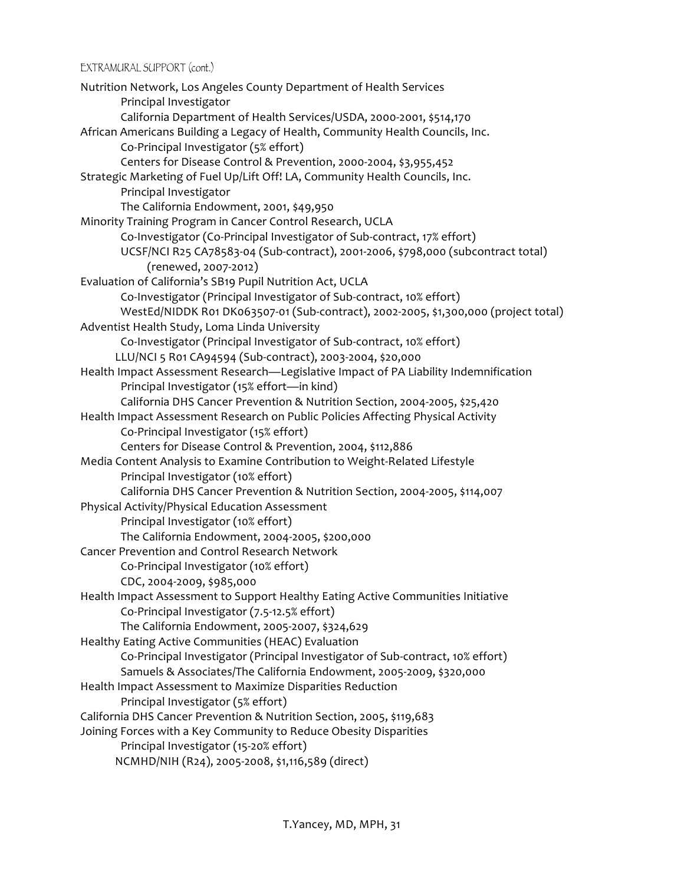EXTRAMURAL SUPPORT (cont.)

```
Nutrition Network, Los Angeles County Department of Health Services
       Principal Investigator
       California Department of Health Services/USDA, 2000-2001, $514,170
African Americans Building a Legacy of Health, Community Health Councils, Inc.
       Co-Principal Investigator (5% effort)
       Centers for Disease Control & Prevention, 2000-2004, $3,955,452
Strategic Marketing of Fuel Up/Lift Off! LA, Community Health Councils, Inc.
       Principal Investigator
       The California Endowment, 2001, $49,950
Minority Training Program in Cancer Control Research, UCLA
       Co-Investigator (Co-Principal Investigator of Sub-contract, 17% effort)
       UCSF/NCI R25 CA78583-04 (Sub-contract), 2001-2006, $798,000 (subcontract total)
            (renewed, 2007-2012)
Evaluation of California's SB19 Pupil Nutrition Act, UCLA
       Co-Investigator (Principal Investigator of Sub-contract, 10% effort)
       WestEd/NIDDK R01 DK063507-01 (Sub-contract), 2002-2005, $1,300,000 (project total)
Adventist Health Study, Loma Linda University
       Co-Investigator (Principal Investigator of Sub-contract, 10% effort)
      LLU/NCI 5 R01 CA94594 (Sub-contract), 2003-2004, $20,000
Health Impact Assessment Research—Legislative Impact of PA Liability Indemnification
       Principal Investigator (15% effort—in kind)
       California DHS Cancer Prevention & Nutrition Section, 2004-2005, $25,420
Health Impact Assessment Research on Public Policies Affecting Physical Activity
       Co-Principal Investigator (15% effort)
       Centers for Disease Control & Prevention, 2004, $112,886
Media Content Analysis to Examine Contribution to Weight-Related Lifestyle
       Principal Investigator (10% effort)
       California DHS Cancer Prevention & Nutrition Section, 2004-2005, $114,007
Physical Activity/Physical Education Assessment
       Principal Investigator (10% effort)
       The California Endowment, 2004-2005, $200,000
Cancer Prevention and Control Research Network
       Co-Principal Investigator (10% effort)
       CDC, 2004-2009, $985,000
Health Impact Assessment to Support Healthy Eating Active Communities Initiative
       Co-Principal Investigator (7.5-12.5% effort)
       The California Endowment, 2005-2007, $324,629
Healthy Eating Active Communities (HEAC) Evaluation
       Co-Principal Investigator (Principal Investigator of Sub-contract, 10% effort)
       Samuels & Associates/The California Endowment, 2005-2009, $320,000
Health Impact Assessment to Maximize Disparities Reduction
       Principal Investigator (5% effort)
California DHS Cancer Prevention & Nutrition Section, 2005, $119,683
Joining Forces with a Key Community to Reduce Obesity Disparities
       Principal Investigator (15-20% effort)
      NCMHD/NIH (R24), 2005-2008, $1,116,589 (direct)
```